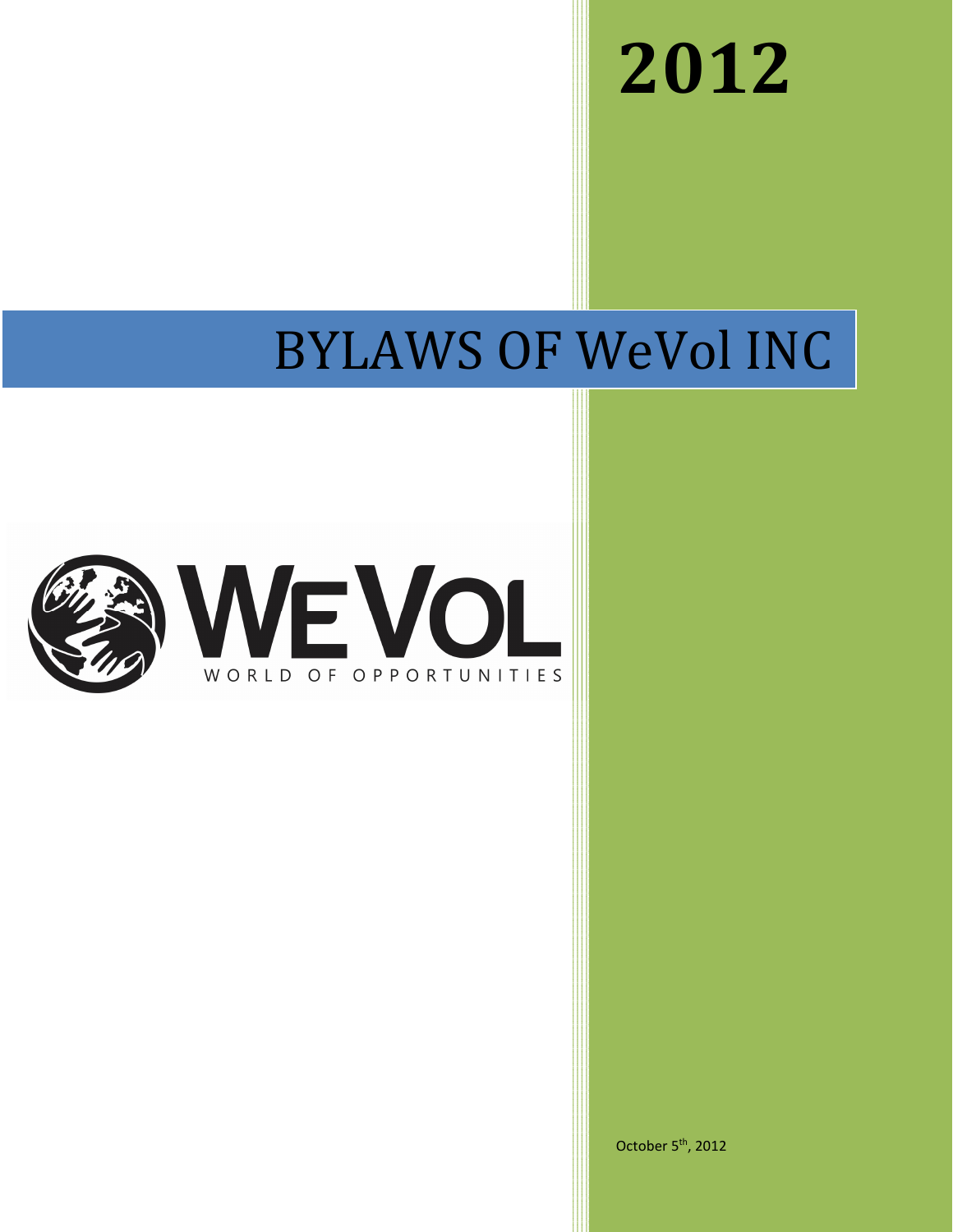**2012**

# BYLAWS OF WeVol INC



October 5<sup>th</sup>, 2012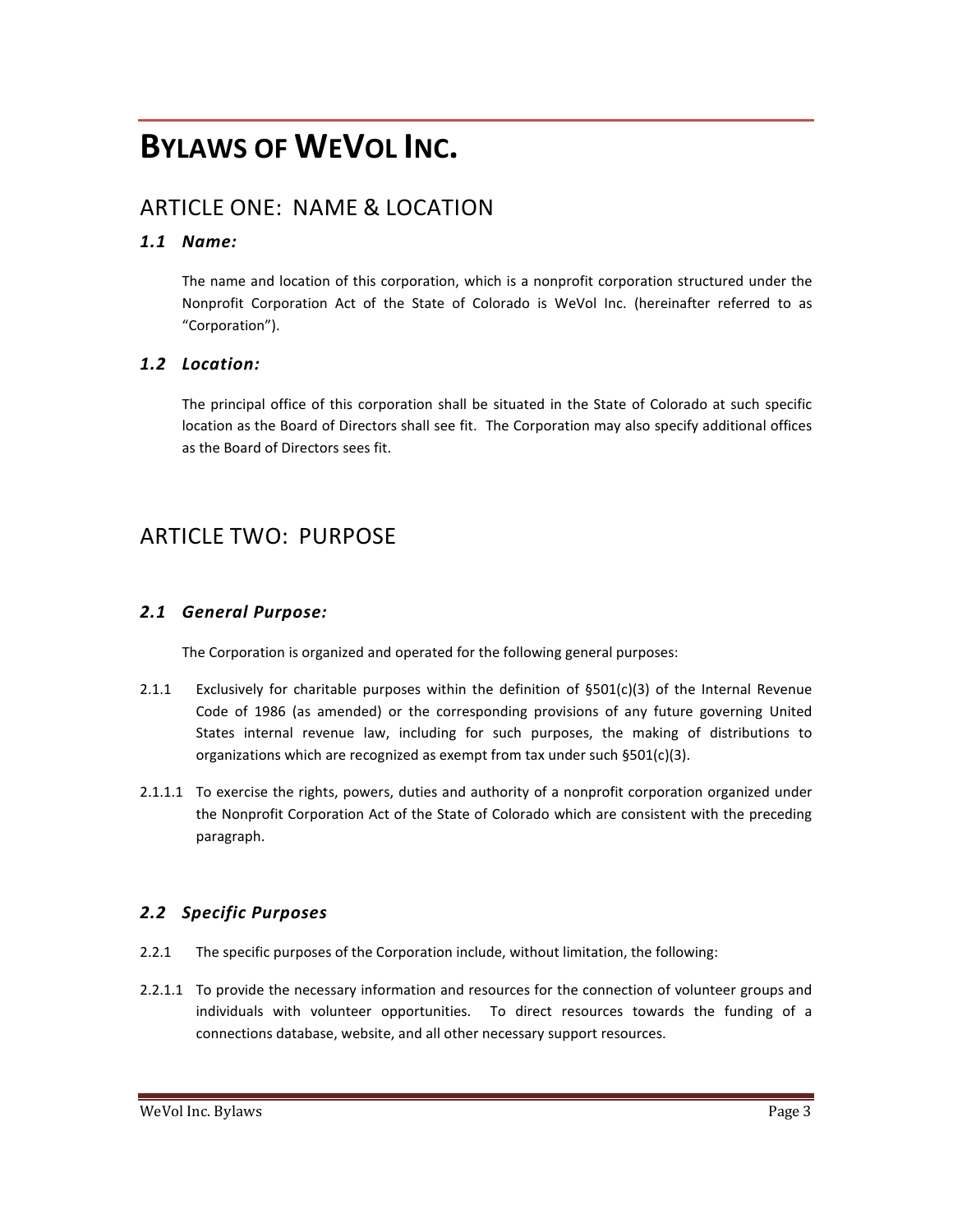## **BYLAWS OF WEVOL INC.**

## ARTICLE ONE: NAME & LOCATION

#### *1.1 Name:*

The name and location of this corporation, which is a nonprofit corporation structured under the Nonprofit Corporation Act of the State of Colorado is WeVol Inc. (hereinafter referred to as "Corporation").

#### *1.2 Location:*

The principal office of this corporation shall be situated in the State of Colorado at such specific location as the Board of Directors shall see fit. The Corporation may also specify additional offices as the Board of Directors sees fit.

## ARTICLE TWO: PURPOSE

#### *2.1 General Purpose:*

The Corporation is organized and operated for the following general purposes:

- 2.1.1 Exclusively for charitable purposes within the definition of  $\S501(c)(3)$  of the Internal Revenue Code of 1986 (as amended) or the corresponding provisions of any future governing United States internal revenue law, including for such purposes, the making of distributions to organizations which are recognized as exempt from tax under such §501(c)(3).
- 2.1.1.1 To exercise the rights, powers, duties and authority of a nonprofit corporation organized under the Nonprofit Corporation Act of the State of Colorado which are consistent with the preceding paragraph.

#### *2.2 Specific Purposes*

- 2.2.1 The specific purposes of the Corporation include, without limitation, the following:
- 2.2.1.1 To provide the necessary information and resources for the connection of volunteer groups and individuals with volunteer opportunities. To direct resources towards the funding of a connections database, website, and all other necessary support resources.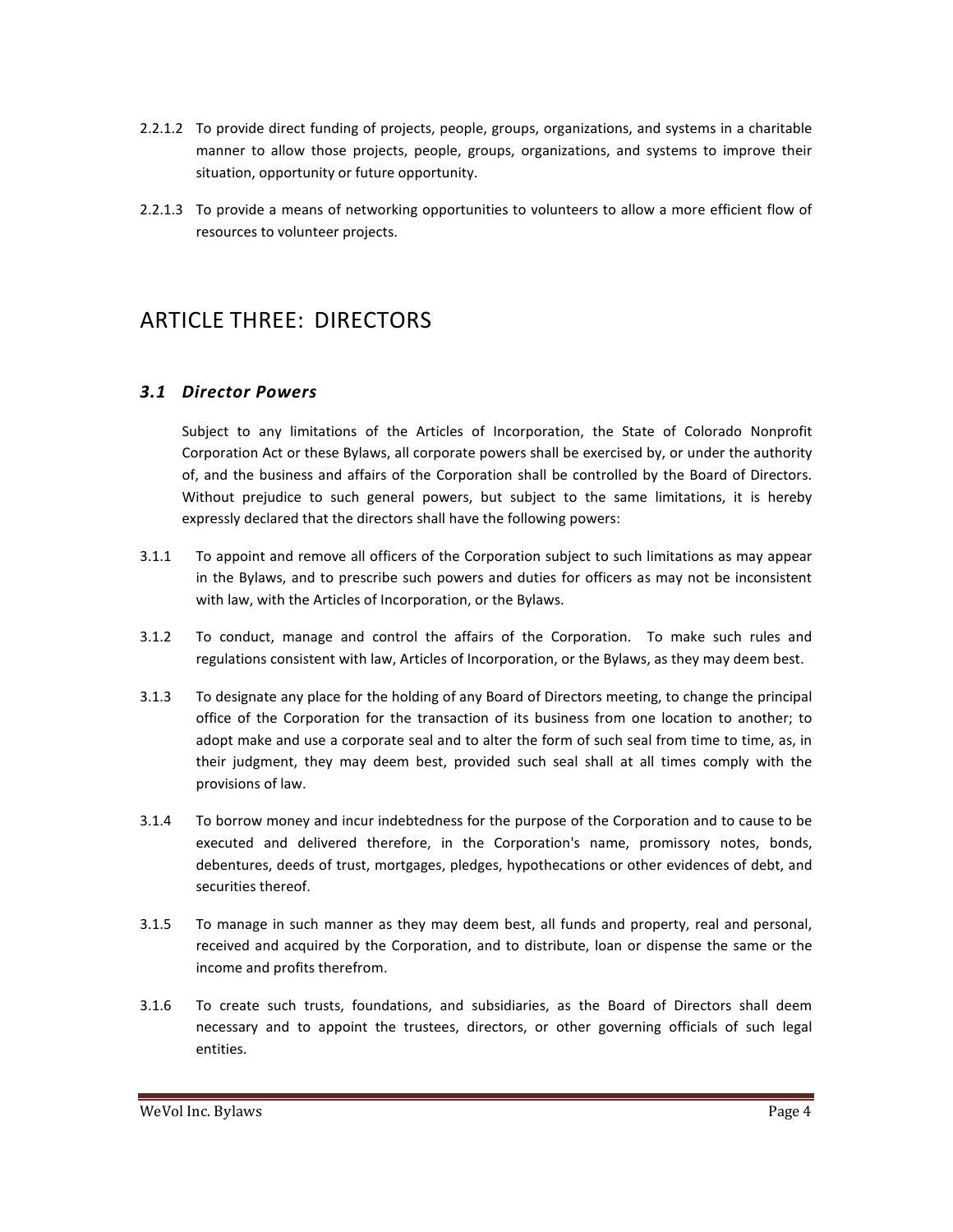- 2.2.1.2 To provide direct funding of projects, people, groups, organizations, and systems in a charitable manner to allow those projects, people, groups, organizations, and systems to improve their situation, opportunity or future opportunity.
- 2.2.1.3 To provide a means of networking opportunities to volunteers to allow a more efficient flow of resources to volunteer projects.

## ARTICLE THREE: DIRECTORS

#### *3.1 Director Powers*

Subject to any limitations of the Articles of Incorporation, the State of Colorado Nonprofit Corporation Act or these Bylaws, all corporate powers shall be exercised by, or under the authority of, and the business and affairs of the Corporation shall be controlled by the Board of Directors. Without prejudice to such general powers, but subject to the same limitations, it is hereby expressly declared that the directors shall have the following powers:

- 3.1.1 To appoint and remove all officers of the Corporation subject to such limitations as may appear in the Bylaws, and to prescribe such powers and duties for officers as may not be inconsistent with law, with the Articles of Incorporation, or the Bylaws.
- 3.1.2 To conduct, manage and control the affairs of the Corporation. To make such rules and regulations consistent with law, Articles of Incorporation, or the Bylaws, as they may deem best.
- 3.1.3 To designate any place for the holding of any Board of Directors meeting, to change the principal office of the Corporation for the transaction of its business from one location to another; to adopt make and use a corporate seal and to alter the form of such seal from time to time, as, in their judgment, they may deem best, provided such seal shall at all times comply with the provisions of law.
- 3.1.4 To borrow money and incur indebtedness for the purpose of the Corporation and to cause to be executed and delivered therefore, in the Corporation's name, promissory notes, bonds, debentures, deeds of trust, mortgages, pledges, hypothecations or other evidences of debt, and securities thereof.
- 3.1.5 To manage in such manner as they may deem best, all funds and property, real and personal, received and acquired by the Corporation, and to distribute, loan or dispense the same or the income and profits therefrom.
- 3.1.6 To create such trusts, foundations, and subsidiaries, as the Board of Directors shall deem necessary and to appoint the trustees, directors, or other governing officials of such legal entities.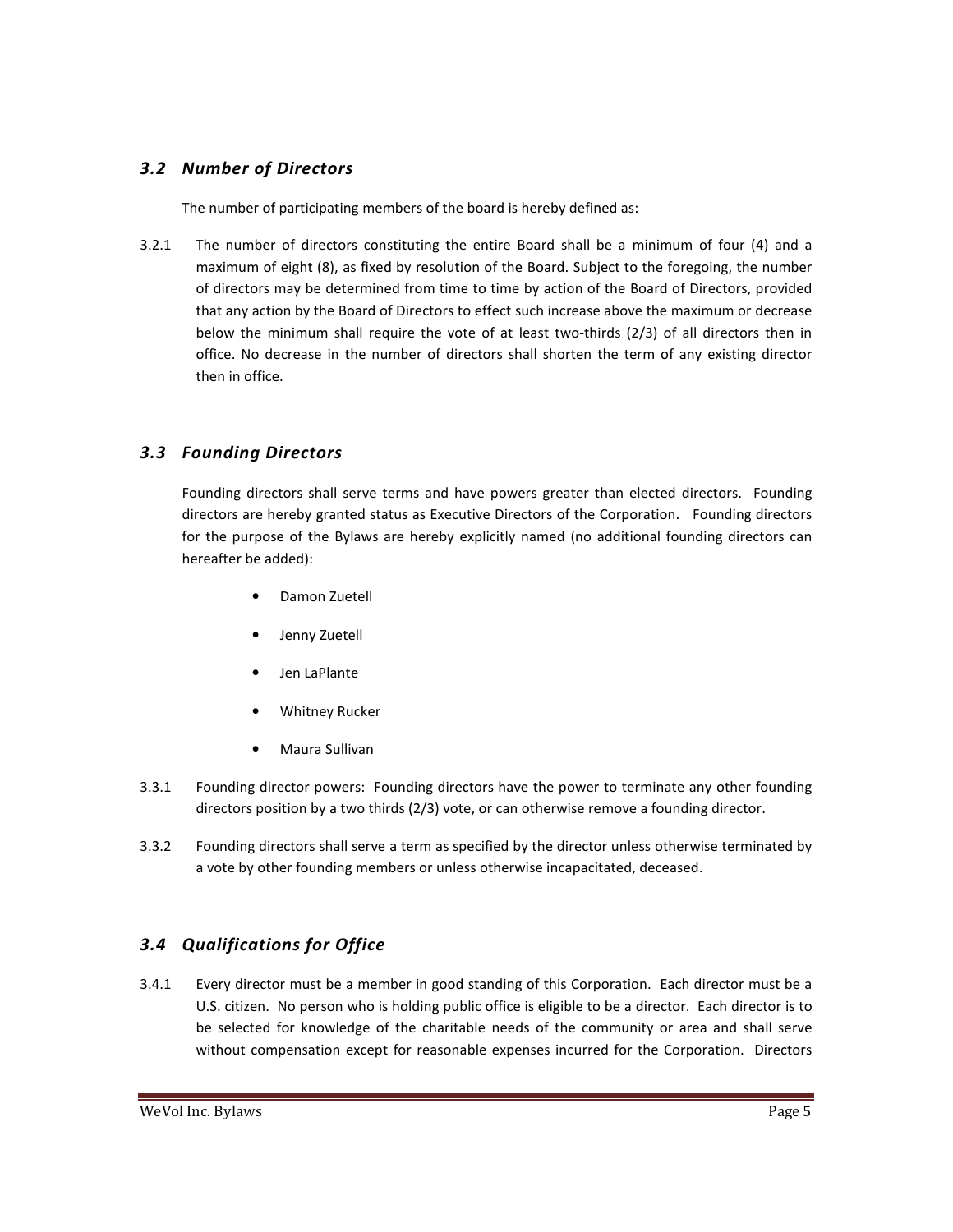#### *3.2 Number of Directors*

The number of participating members of the board is hereby defined as:

3.2.1 The number of directors constituting the entire Board shall be a minimum of four (4) and a maximum of eight (8), as fixed by resolution of the Board. Subject to the foregoing, the number of directors may be determined from time to time by action of the Board of Directors, provided that any action by the Board of Directors to effect such increase above the maximum or decrease below the minimum shall require the vote of at least two-thirds (2/3) of all directors then in office. No decrease in the number of directors shall shorten the term of any existing director then in office.

#### *3.3 Founding Directors*

Founding directors shall serve terms and have powers greater than elected directors. Founding directors are hereby granted status as Executive Directors of the Corporation. Founding directors for the purpose of the Bylaws are hereby explicitly named (no additional founding directors can hereafter be added):

- Damon Zuetell
- Jenny Zuetell
- Jen LaPlante
- Whitney Rucker
- Maura Sullivan
- 3.3.1 Founding director powers: Founding directors have the power to terminate any other founding directors position by a two thirds (2/3) vote, or can otherwise remove a founding director.
- 3.3.2 Founding directors shall serve a term as specified by the director unless otherwise terminated by a vote by other founding members or unless otherwise incapacitated, deceased.

### *3.4 Qualifications for Office*

3.4.1 Every director must be a member in good standing of this Corporation. Each director must be a U.S. citizen. No person who is holding public office is eligible to be a director. Each director is to be selected for knowledge of the charitable needs of the community or area and shall serve without compensation except for reasonable expenses incurred for the Corporation. Directors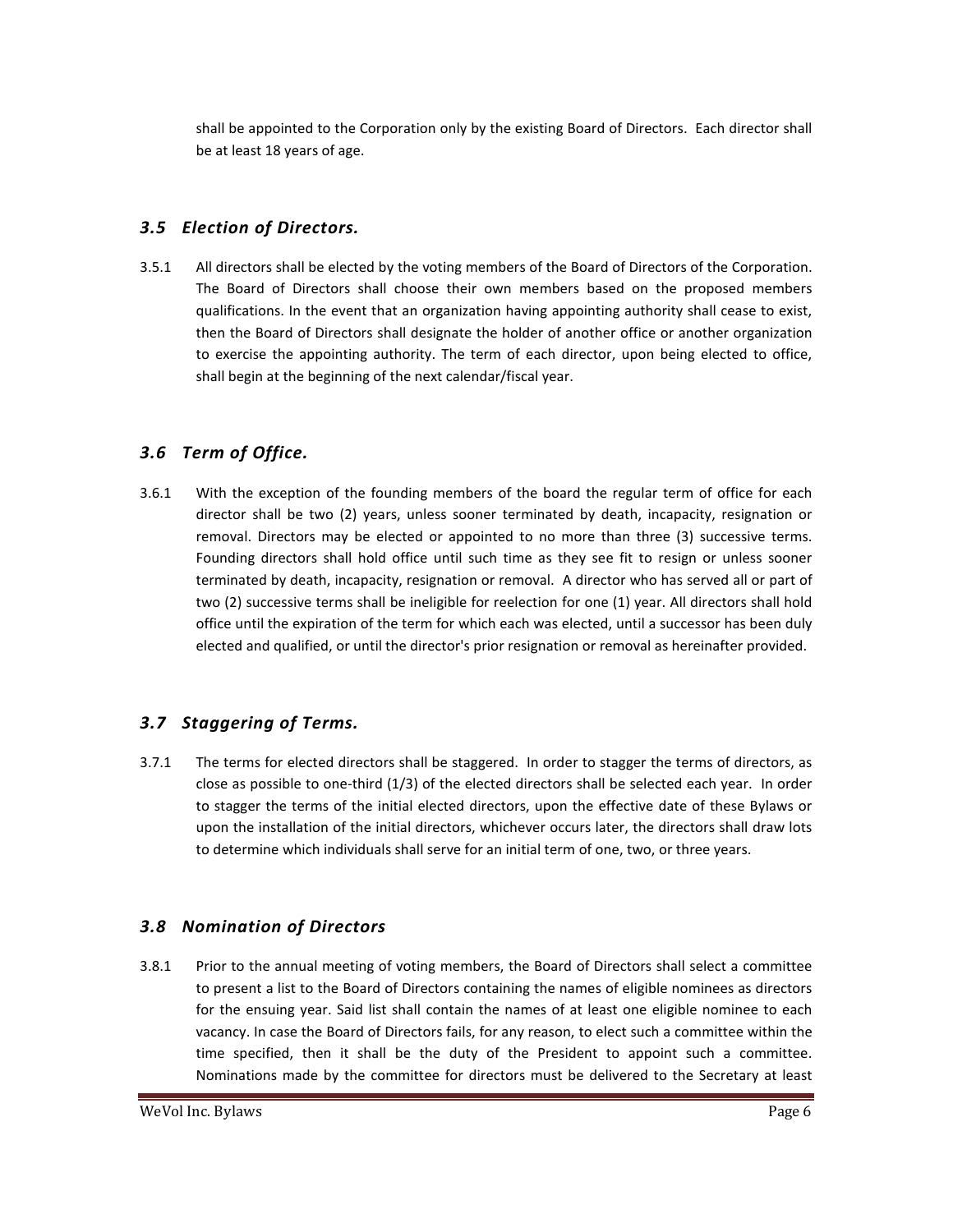shall be appointed to the Corporation only by the existing Board of Directors. Each director shall be at least 18 years of age.

#### *3.5 Election of Directors.*

3.5.1 All directors shall be elected by the voting members of the Board of Directors of the Corporation. The Board of Directors shall choose their own members based on the proposed members qualifications. In the event that an organization having appointing authority shall cease to exist, then the Board of Directors shall designate the holder of another office or another organization to exercise the appointing authority. The term of each director, upon being elected to office, shall begin at the beginning of the next calendar/fiscal year.

#### *3.6 Term of Office.*

3.6.1 With the exception of the founding members of the board the regular term of office for each director shall be two (2) years, unless sooner terminated by death, incapacity, resignation or removal. Directors may be elected or appointed to no more than three (3) successive terms. Founding directors shall hold office until such time as they see fit to resign or unless sooner terminated by death, incapacity, resignation or removal. A director who has served all or part of two (2) successive terms shall be ineligible for reelection for one (1) year. All directors shall hold office until the expiration of the term for which each was elected, until a successor has been duly elected and qualified, or until the director's prior resignation or removal as hereinafter provided.

#### *3.7 Staggering of Terms.*

3.7.1 The terms for elected directors shall be staggered. In order to stagger the terms of directors, as close as possible to one-third (1/3) of the elected directors shall be selected each year. In order to stagger the terms of the initial elected directors, upon the effective date of these Bylaws or upon the installation of the initial directors, whichever occurs later, the directors shall draw lots to determine which individuals shall serve for an initial term of one, two, or three years.

#### *3.8 Nomination of Directors*

3.8.1 Prior to the annual meeting of voting members, the Board of Directors shall select a committee to present a list to the Board of Directors containing the names of eligible nominees as directors for the ensuing year. Said list shall contain the names of at least one eligible nominee to each vacancy. In case the Board of Directors fails, for any reason, to elect such a committee within the time specified, then it shall be the duty of the President to appoint such a committee. Nominations made by the committee for directors must be delivered to the Secretary at least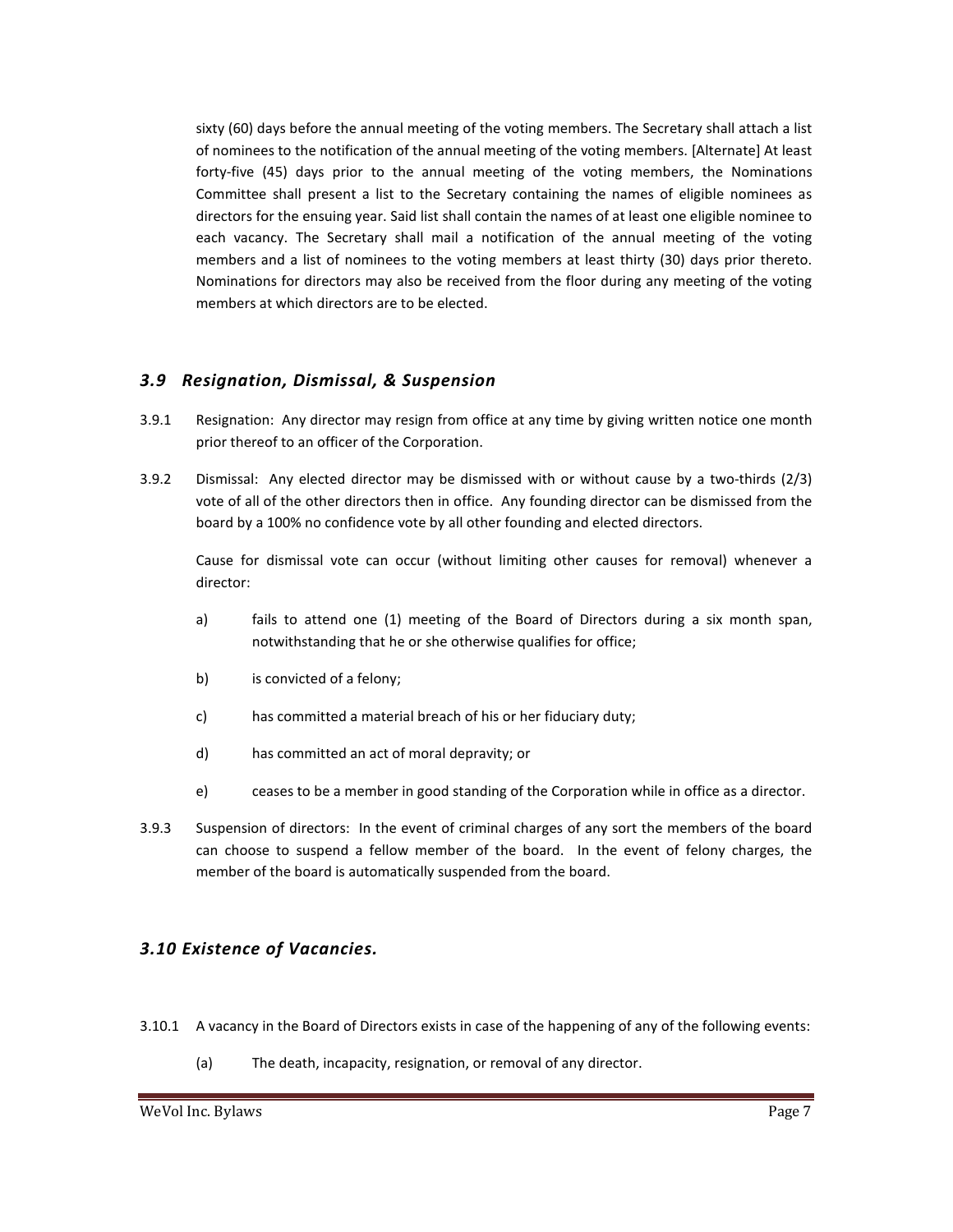sixty (60) days before the annual meeting of the voting members. The Secretary shall attach a list of nominees to the notification of the annual meeting of the voting members. [Alternate] At least forty-five (45) days prior to the annual meeting of the voting members, the Nominations Committee shall present a list to the Secretary containing the names of eligible nominees as directors for the ensuing year. Said list shall contain the names of at least one eligible nominee to each vacancy. The Secretary shall mail a notification of the annual meeting of the voting members and a list of nominees to the voting members at least thirty (30) days prior thereto. Nominations for directors may also be received from the floor during any meeting of the voting members at which directors are to be elected.

#### *3.9 Resignation, Dismissal, & Suspension*

- 3.9.1 Resignation: Any director may resign from office at any time by giving written notice one month prior thereof to an officer of the Corporation.
- 3.9.2 Dismissal: Any elected director may be dismissed with or without cause by a two-thirds (2/3) vote of all of the other directors then in office. Any founding director can be dismissed from the board by a 100% no confidence vote by all other founding and elected directors.

Cause for dismissal vote can occur (without limiting other causes for removal) whenever a director:

- a) fails to attend one (1) meeting of the Board of Directors during a six month span, notwithstanding that he or she otherwise qualifies for office;
- b) is convicted of a felony;
- c) has committed a material breach of his or her fiduciary duty;
- d) has committed an act of moral depravity; or
- e) ceases to be a member in good standing of the Corporation while in office as a director.
- 3.9.3 Suspension of directors: In the event of criminal charges of any sort the members of the board can choose to suspend a fellow member of the board. In the event of felony charges, the member of the board is automatically suspended from the board.

#### *3.10 Existence of Vacancies.*

- 3.10.1 A vacancy in the Board of Directors exists in case of the happening of any of the following events:
	- (a) The death, incapacity, resignation, or removal of any director.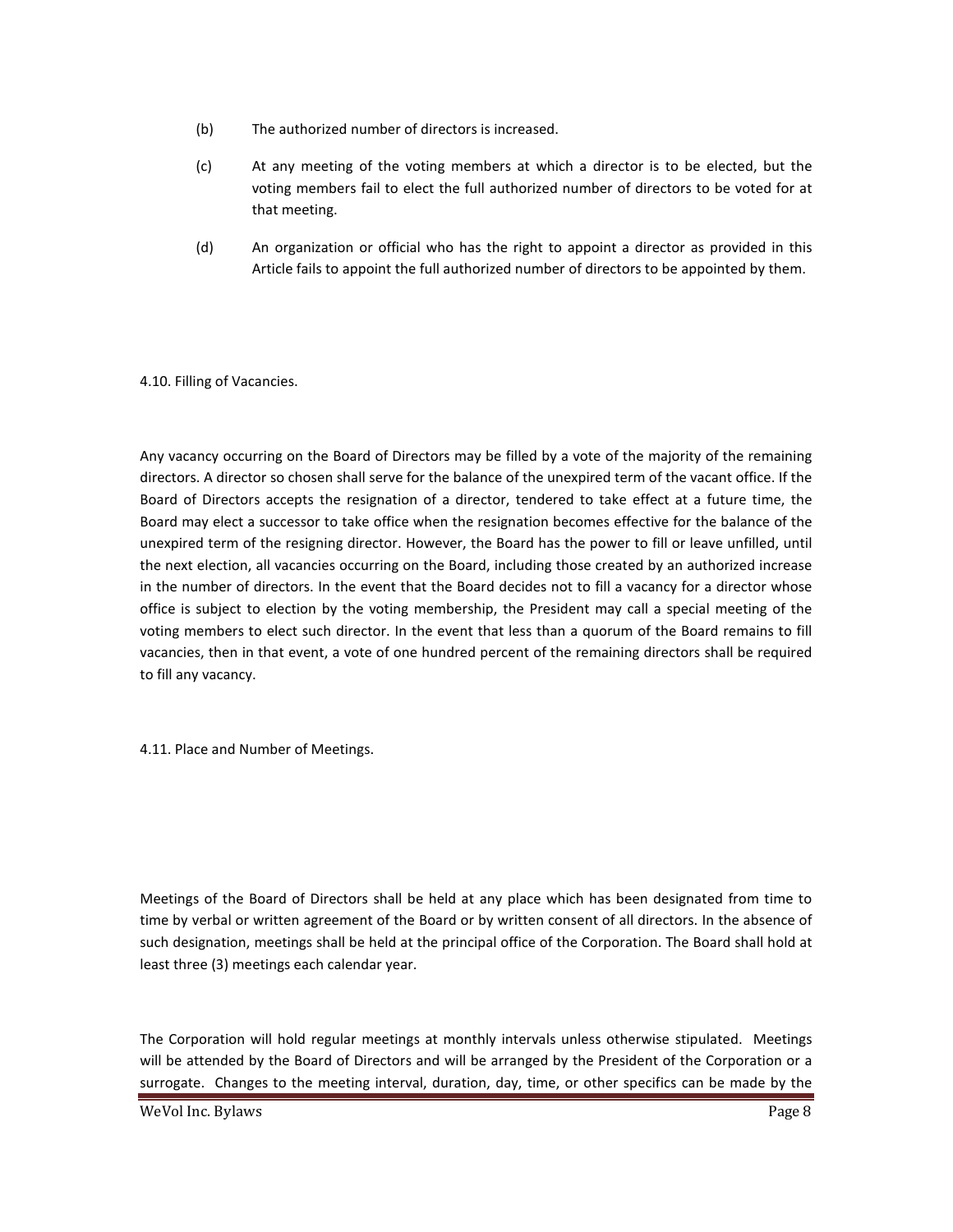- (b) The authorized number of directors is increased.
- (c) At any meeting of the voting members at which a director is to be elected, but the voting members fail to elect the full authorized number of directors to be voted for at that meeting.
- (d) An organization or official who has the right to appoint a director as provided in this Article fails to appoint the full authorized number of directors to be appointed by them.

#### 4.10. Filling of Vacancies.

Any vacancy occurring on the Board of Directors may be filled by a vote of the majority of the remaining directors. A director so chosen shall serve for the balance of the unexpired term of the vacant office. If the Board of Directors accepts the resignation of a director, tendered to take effect at a future time, the Board may elect a successor to take office when the resignation becomes effective for the balance of the unexpired term of the resigning director. However, the Board has the power to fill or leave unfilled, until the next election, all vacancies occurring on the Board, including those created by an authorized increase in the number of directors. In the event that the Board decides not to fill a vacancy for a director whose office is subject to election by the voting membership, the President may call a special meeting of the voting members to elect such director. In the event that less than a quorum of the Board remains to fill vacancies, then in that event, a vote of one hundred percent of the remaining directors shall be required to fill any vacancy.

4.11. Place and Number of Meetings.

Meetings of the Board of Directors shall be held at any place which has been designated from time to time by verbal or written agreement of the Board or by written consent of all directors. In the absence of such designation, meetings shall be held at the principal office of the Corporation. The Board shall hold at least three (3) meetings each calendar year.

The Corporation will hold regular meetings at monthly intervals unless otherwise stipulated. Meetings will be attended by the Board of Directors and will be arranged by the President of the Corporation or a surrogate. Changes to the meeting interval, duration, day, time, or other specifics can be made by the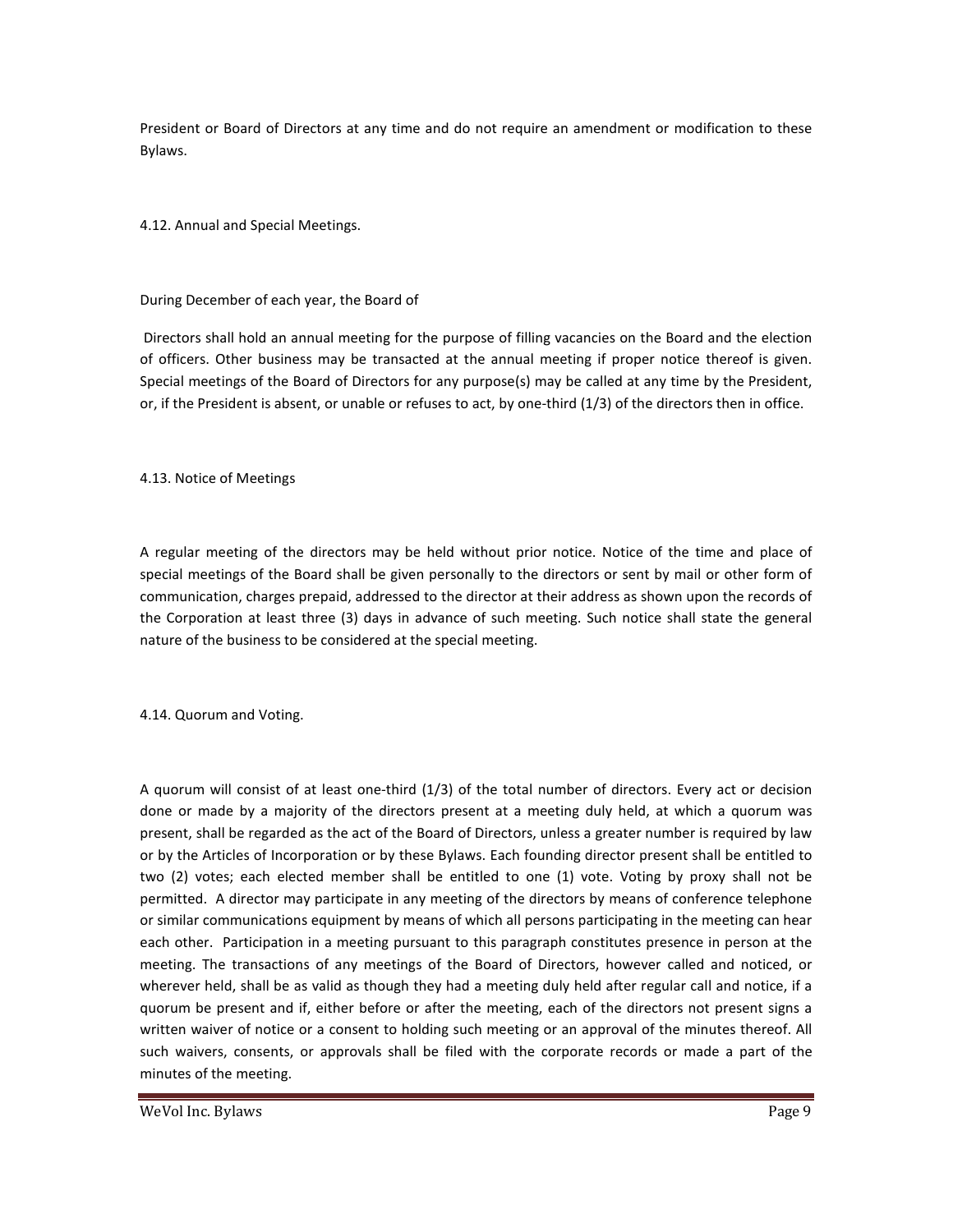President or Board of Directors at any time and do not require an amendment or modification to these Bylaws.

4.12. Annual and Special Meetings.

During December of each year, the Board of

 Directors shall hold an annual meeting for the purpose of filling vacancies on the Board and the election of officers. Other business may be transacted at the annual meeting if proper notice thereof is given. Special meetings of the Board of Directors for any purpose(s) may be called at any time by the President, or, if the President is absent, or unable or refuses to act, by one-third (1/3) of the directors then in office.

#### 4.13. Notice of Meetings

A regular meeting of the directors may be held without prior notice. Notice of the time and place of special meetings of the Board shall be given personally to the directors or sent by mail or other form of communication, charges prepaid, addressed to the director at their address as shown upon the records of the Corporation at least three (3) days in advance of such meeting. Such notice shall state the general nature of the business to be considered at the special meeting.

4.14. Quorum and Voting.

A quorum will consist of at least one-third (1/3) of the total number of directors. Every act or decision done or made by a majority of the directors present at a meeting duly held, at which a quorum was present, shall be regarded as the act of the Board of Directors, unless a greater number is required by law or by the Articles of Incorporation or by these Bylaws. Each founding director present shall be entitled to two (2) votes; each elected member shall be entitled to one (1) vote. Voting by proxy shall not be permitted. A director may participate in any meeting of the directors by means of conference telephone or similar communications equipment by means of which all persons participating in the meeting can hear each other. Participation in a meeting pursuant to this paragraph constitutes presence in person at the meeting. The transactions of any meetings of the Board of Directors, however called and noticed, or wherever held, shall be as valid as though they had a meeting duly held after regular call and notice, if a quorum be present and if, either before or after the meeting, each of the directors not present signs a written waiver of notice or a consent to holding such meeting or an approval of the minutes thereof. All such waivers, consents, or approvals shall be filed with the corporate records or made a part of the minutes of the meeting.

WeVol Inc. Bylaws **Page 9**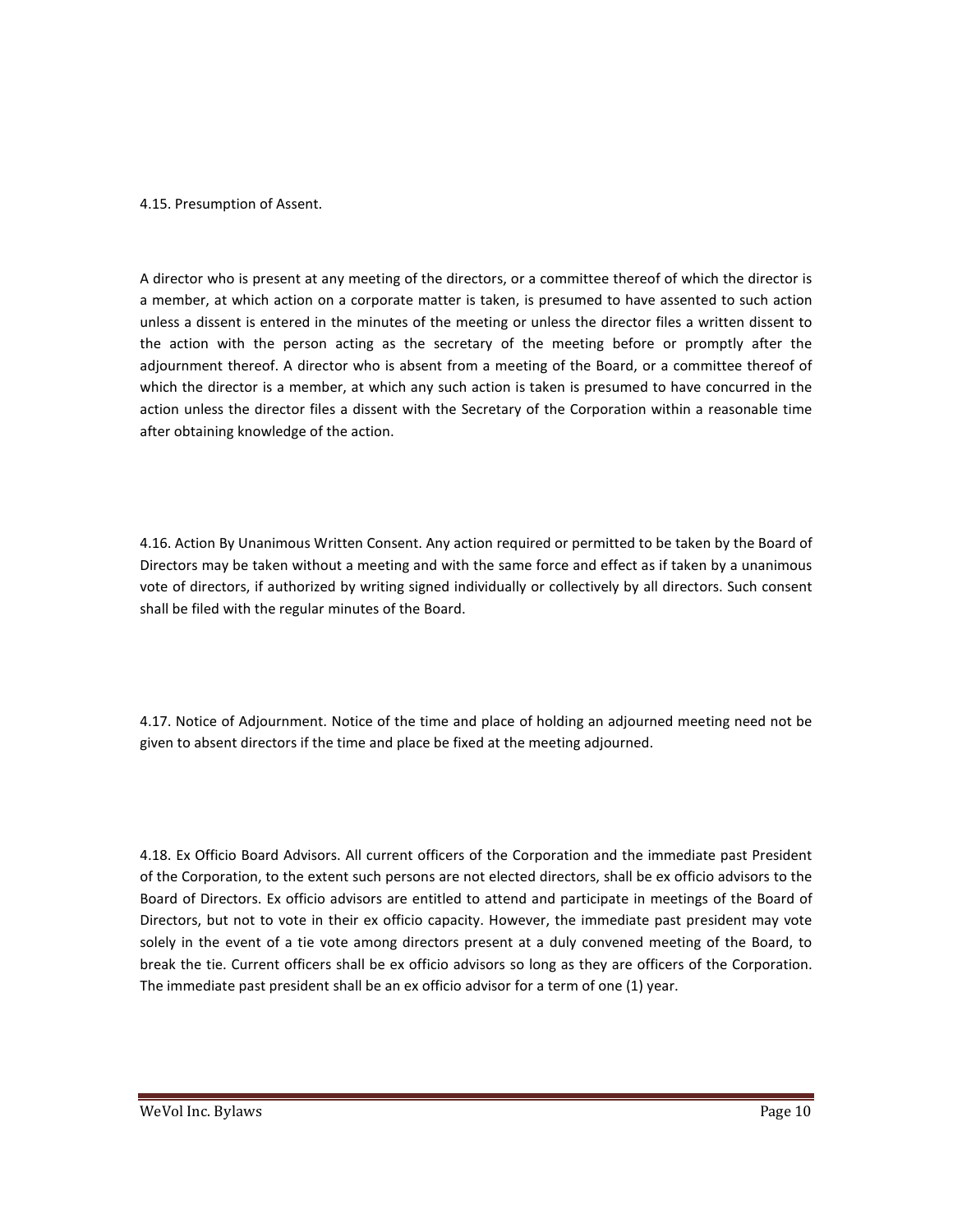#### 4.15. Presumption of Assent.

A director who is present at any meeting of the directors, or a committee thereof of which the director is a member, at which action on a corporate matter is taken, is presumed to have assented to such action unless a dissent is entered in the minutes of the meeting or unless the director files a written dissent to the action with the person acting as the secretary of the meeting before or promptly after the adjournment thereof. A director who is absent from a meeting of the Board, or a committee thereof of which the director is a member, at which any such action is taken is presumed to have concurred in the action unless the director files a dissent with the Secretary of the Corporation within a reasonable time after obtaining knowledge of the action.

4.16. Action By Unanimous Written Consent. Any action required or permitted to be taken by the Board of Directors may be taken without a meeting and with the same force and effect as if taken by a unanimous vote of directors, if authorized by writing signed individually or collectively by all directors. Such consent shall be filed with the regular minutes of the Board.

4.17. Notice of Adjournment. Notice of the time and place of holding an adjourned meeting need not be given to absent directors if the time and place be fixed at the meeting adjourned.

4.18. Ex Officio Board Advisors. All current officers of the Corporation and the immediate past President of the Corporation, to the extent such persons are not elected directors, shall be ex officio advisors to the Board of Directors. Ex officio advisors are entitled to attend and participate in meetings of the Board of Directors, but not to vote in their ex officio capacity. However, the immediate past president may vote solely in the event of a tie vote among directors present at a duly convened meeting of the Board, to break the tie. Current officers shall be ex officio advisors so long as they are officers of the Corporation. The immediate past president shall be an ex officio advisor for a term of one (1) year.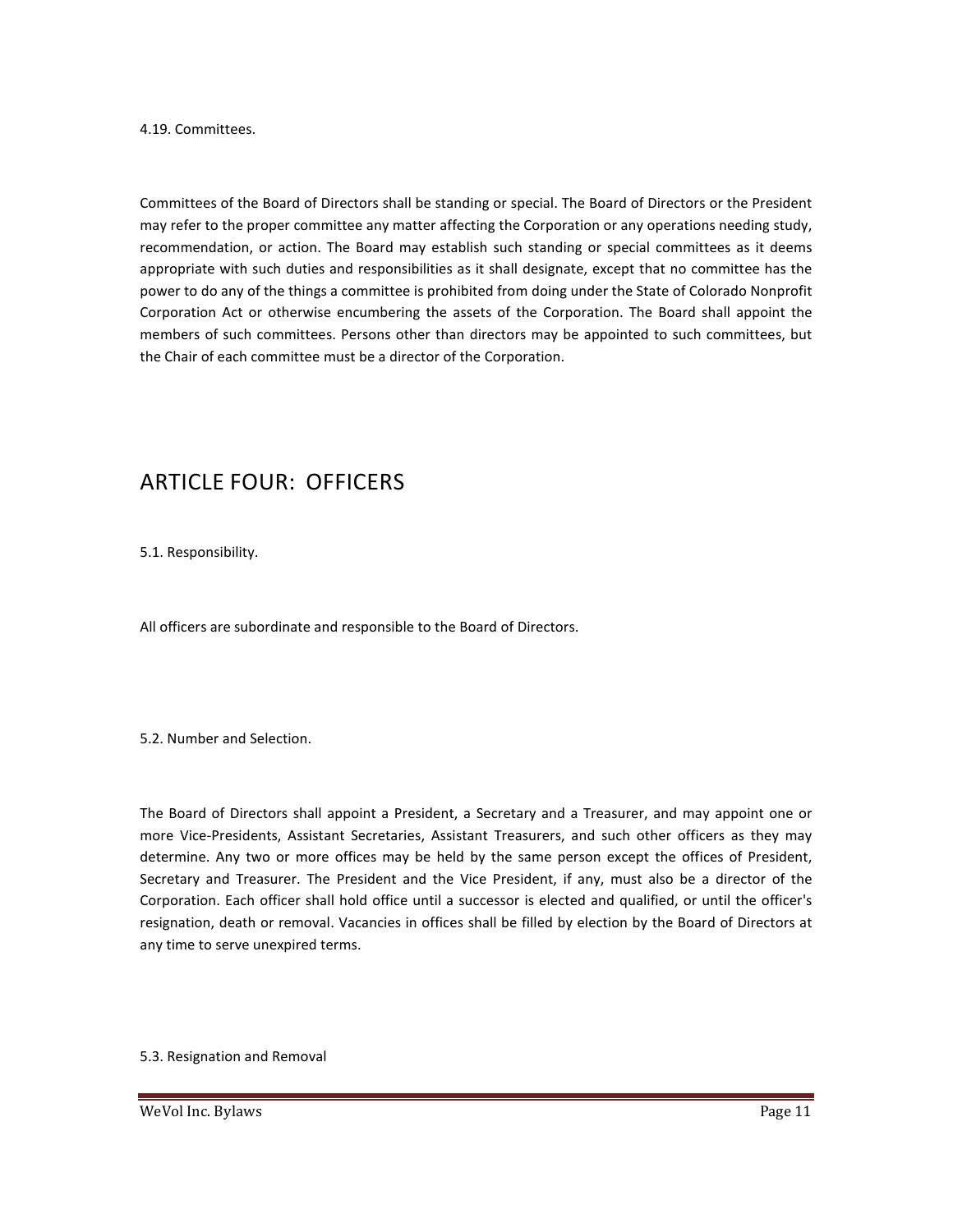4.19. Committees.

Committees of the Board of Directors shall be standing or special. The Board of Directors or the President may refer to the proper committee any matter affecting the Corporation or any operations needing study, recommendation, or action. The Board may establish such standing or special committees as it deems appropriate with such duties and responsibilities as it shall designate, except that no committee has the power to do any of the things a committee is prohibited from doing under the State of Colorado Nonprofit Corporation Act or otherwise encumbering the assets of the Corporation. The Board shall appoint the members of such committees. Persons other than directors may be appointed to such committees, but the Chair of each committee must be a director of the Corporation.

## ARTICLE FOUR: OFFICERS

5.1. Responsibility.

All officers are subordinate and responsible to the Board of Directors.

5.2. Number and Selection.

The Board of Directors shall appoint a President, a Secretary and a Treasurer, and may appoint one or more Vice-Presidents, Assistant Secretaries, Assistant Treasurers, and such other officers as they may determine. Any two or more offices may be held by the same person except the offices of President, Secretary and Treasurer. The President and the Vice President, if any, must also be a director of the Corporation. Each officer shall hold office until a successor is elected and qualified, or until the officer's resignation, death or removal. Vacancies in offices shall be filled by election by the Board of Directors at any time to serve unexpired terms.

5.3. Resignation and Removal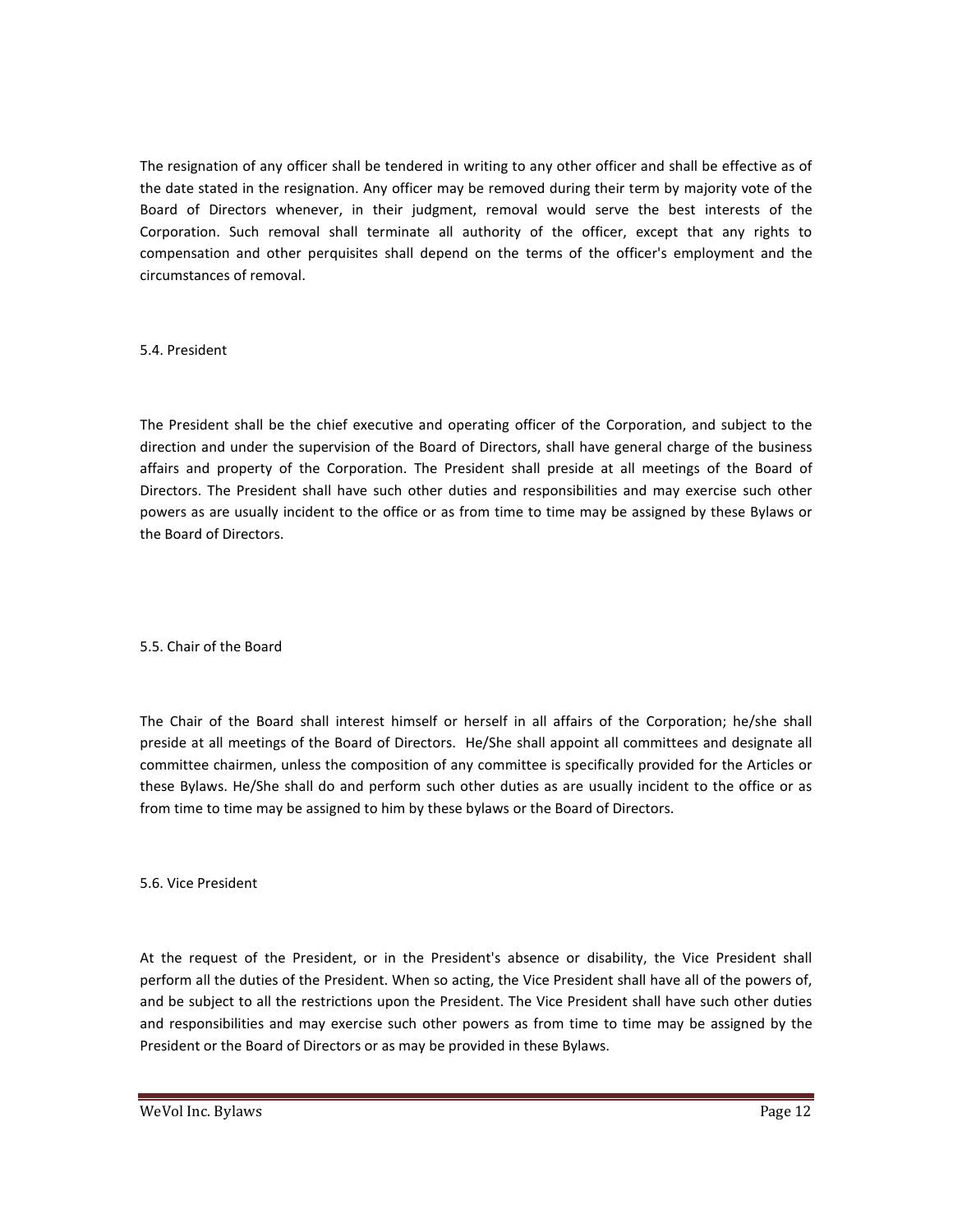The resignation of any officer shall be tendered in writing to any other officer and shall be effective as of the date stated in the resignation. Any officer may be removed during their term by majority vote of the Board of Directors whenever, in their judgment, removal would serve the best interests of the Corporation. Such removal shall terminate all authority of the officer, except that any rights to compensation and other perquisites shall depend on the terms of the officer's employment and the circumstances of removal.

5.4. President

The President shall be the chief executive and operating officer of the Corporation, and subject to the direction and under the supervision of the Board of Directors, shall have general charge of the business affairs and property of the Corporation. The President shall preside at all meetings of the Board of Directors. The President shall have such other duties and responsibilities and may exercise such other powers as are usually incident to the office or as from time to time may be assigned by these Bylaws or the Board of Directors.

5.5. Chair of the Board

The Chair of the Board shall interest himself or herself in all affairs of the Corporation; he/she shall preside at all meetings of the Board of Directors. He/She shall appoint all committees and designate all committee chairmen, unless the composition of any committee is specifically provided for the Articles or these Bylaws. He/She shall do and perform such other duties as are usually incident to the office or as from time to time may be assigned to him by these bylaws or the Board of Directors.

5.6. Vice President

At the request of the President, or in the President's absence or disability, the Vice President shall perform all the duties of the President. When so acting, the Vice President shall have all of the powers of, and be subject to all the restrictions upon the President. The Vice President shall have such other duties and responsibilities and may exercise such other powers as from time to time may be assigned by the President or the Board of Directors or as may be provided in these Bylaws.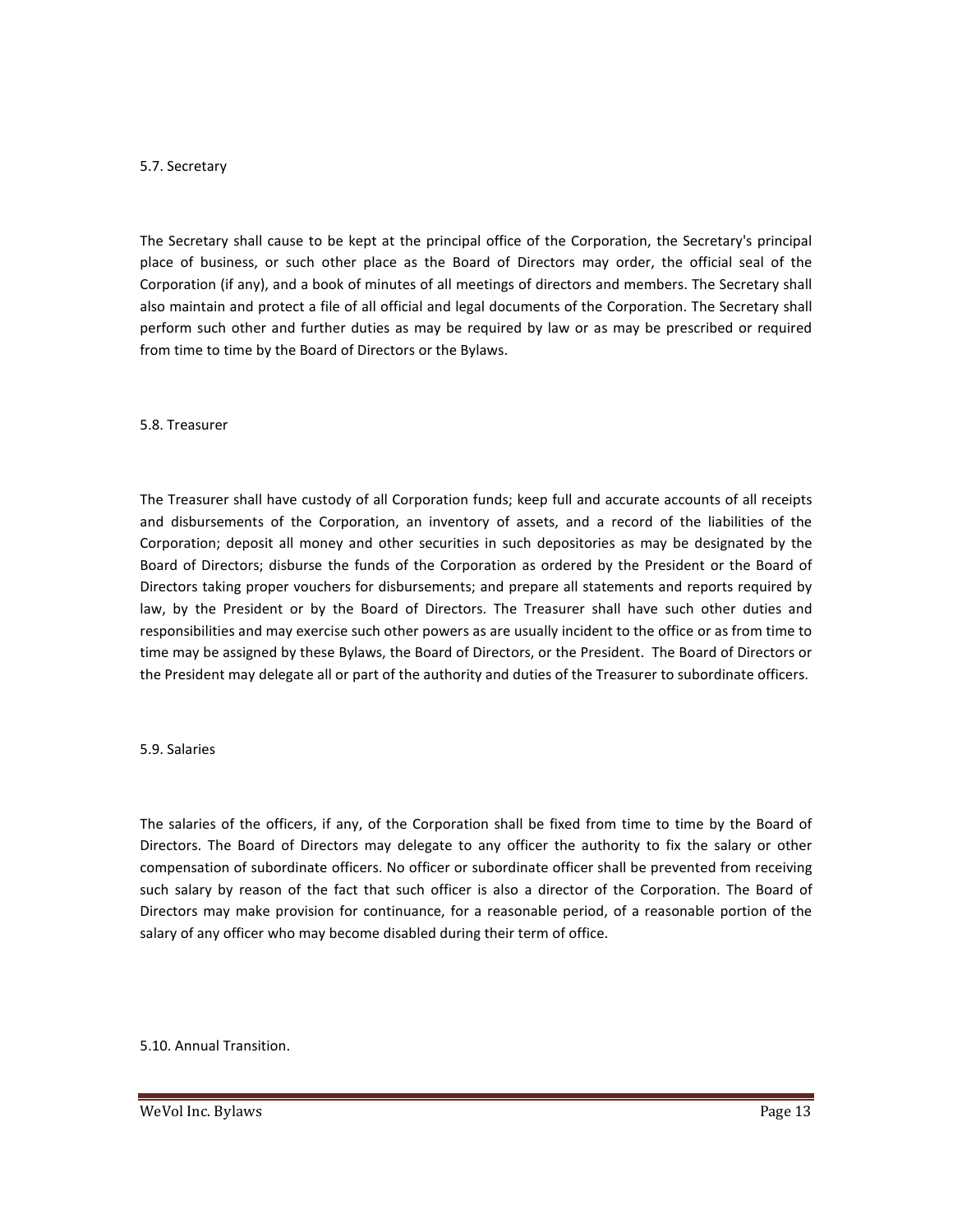#### 5.7. Secretary

The Secretary shall cause to be kept at the principal office of the Corporation, the Secretary's principal place of business, or such other place as the Board of Directors may order, the official seal of the Corporation (if any), and a book of minutes of all meetings of directors and members. The Secretary shall also maintain and protect a file of all official and legal documents of the Corporation. The Secretary shall perform such other and further duties as may be required by law or as may be prescribed or required from time to time by the Board of Directors or the Bylaws.

#### 5.8. Treasurer

The Treasurer shall have custody of all Corporation funds; keep full and accurate accounts of all receipts and disbursements of the Corporation, an inventory of assets, and a record of the liabilities of the Corporation; deposit all money and other securities in such depositories as may be designated by the Board of Directors; disburse the funds of the Corporation as ordered by the President or the Board of Directors taking proper vouchers for disbursements; and prepare all statements and reports required by law, by the President or by the Board of Directors. The Treasurer shall have such other duties and responsibilities and may exercise such other powers as are usually incident to the office or as from time to time may be assigned by these Bylaws, the Board of Directors, or the President. The Board of Directors or the President may delegate all or part of the authority and duties of the Treasurer to subordinate officers.

#### 5.9. Salaries

The salaries of the officers, if any, of the Corporation shall be fixed from time to time by the Board of Directors. The Board of Directors may delegate to any officer the authority to fix the salary or other compensation of subordinate officers. No officer or subordinate officer shall be prevented from receiving such salary by reason of the fact that such officer is also a director of the Corporation. The Board of Directors may make provision for continuance, for a reasonable period, of a reasonable portion of the salary of any officer who may become disabled during their term of office.

#### 5.10. Annual Transition.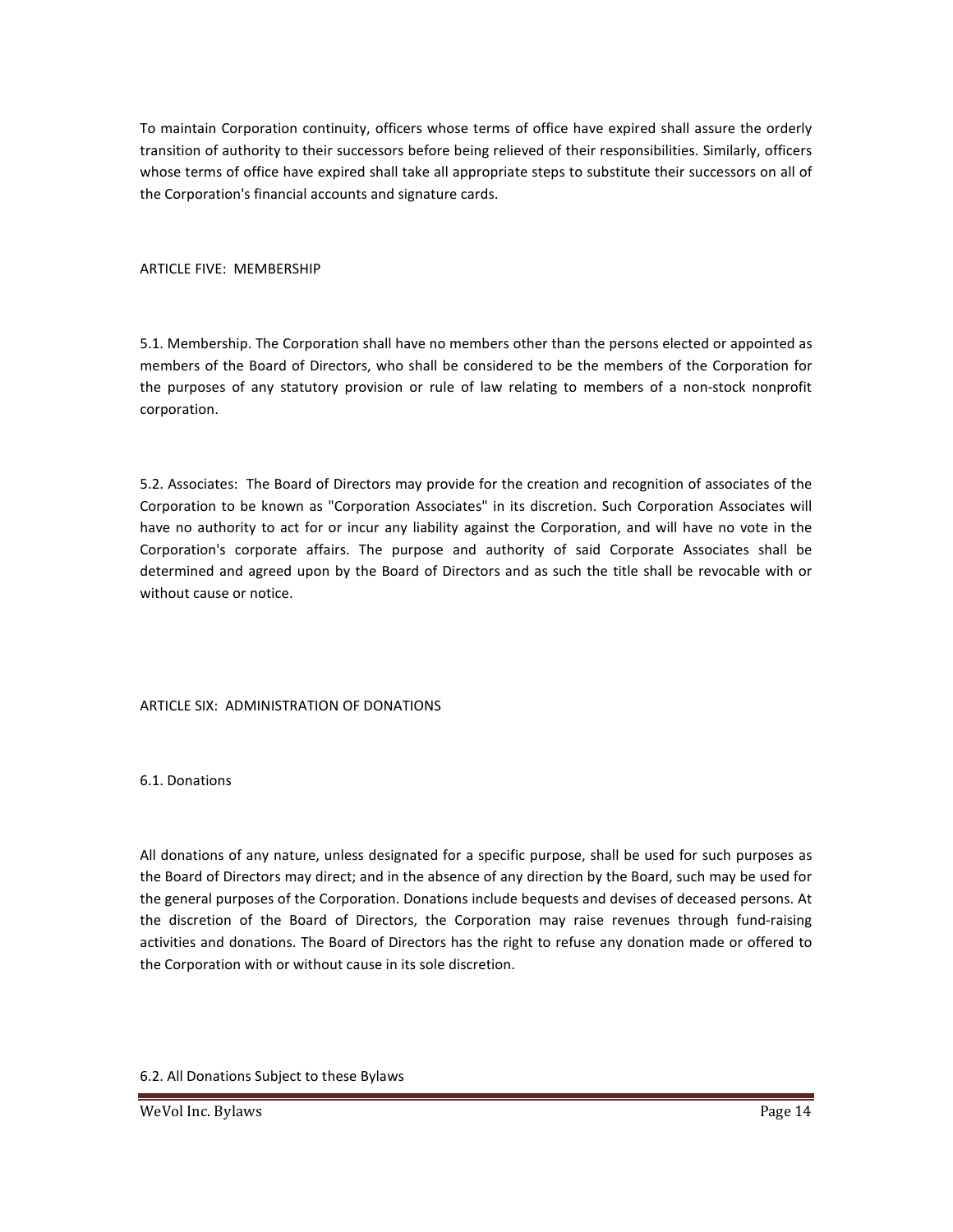To maintain Corporation continuity, officers whose terms of office have expired shall assure the orderly transition of authority to their successors before being relieved of their responsibilities. Similarly, officers whose terms of office have expired shall take all appropriate steps to substitute their successors on all of the Corporation's financial accounts and signature cards.

#### ARTICLE FIVE: MEMBERSHIP

5.1. Membership. The Corporation shall have no members other than the persons elected or appointed as members of the Board of Directors, who shall be considered to be the members of the Corporation for the purposes of any statutory provision or rule of law relating to members of a non-stock nonprofit corporation.

5.2. Associates: The Board of Directors may provide for the creation and recognition of associates of the Corporation to be known as "Corporation Associates" in its discretion. Such Corporation Associates will have no authority to act for or incur any liability against the Corporation, and will have no vote in the Corporation's corporate affairs. The purpose and authority of said Corporate Associates shall be determined and agreed upon by the Board of Directors and as such the title shall be revocable with or without cause or notice.

#### ARTICLE SIX: ADMINISTRATION OF DONATIONS

6.1. Donations

All donations of any nature, unless designated for a specific purpose, shall be used for such purposes as the Board of Directors may direct; and in the absence of any direction by the Board, such may be used for the general purposes of the Corporation. Donations include bequests and devises of deceased persons. At the discretion of the Board of Directors, the Corporation may raise revenues through fund-raising activities and donations. The Board of Directors has the right to refuse any donation made or offered to the Corporation with or without cause in its sole discretion.

6.2. All Donations Subject to these Bylaws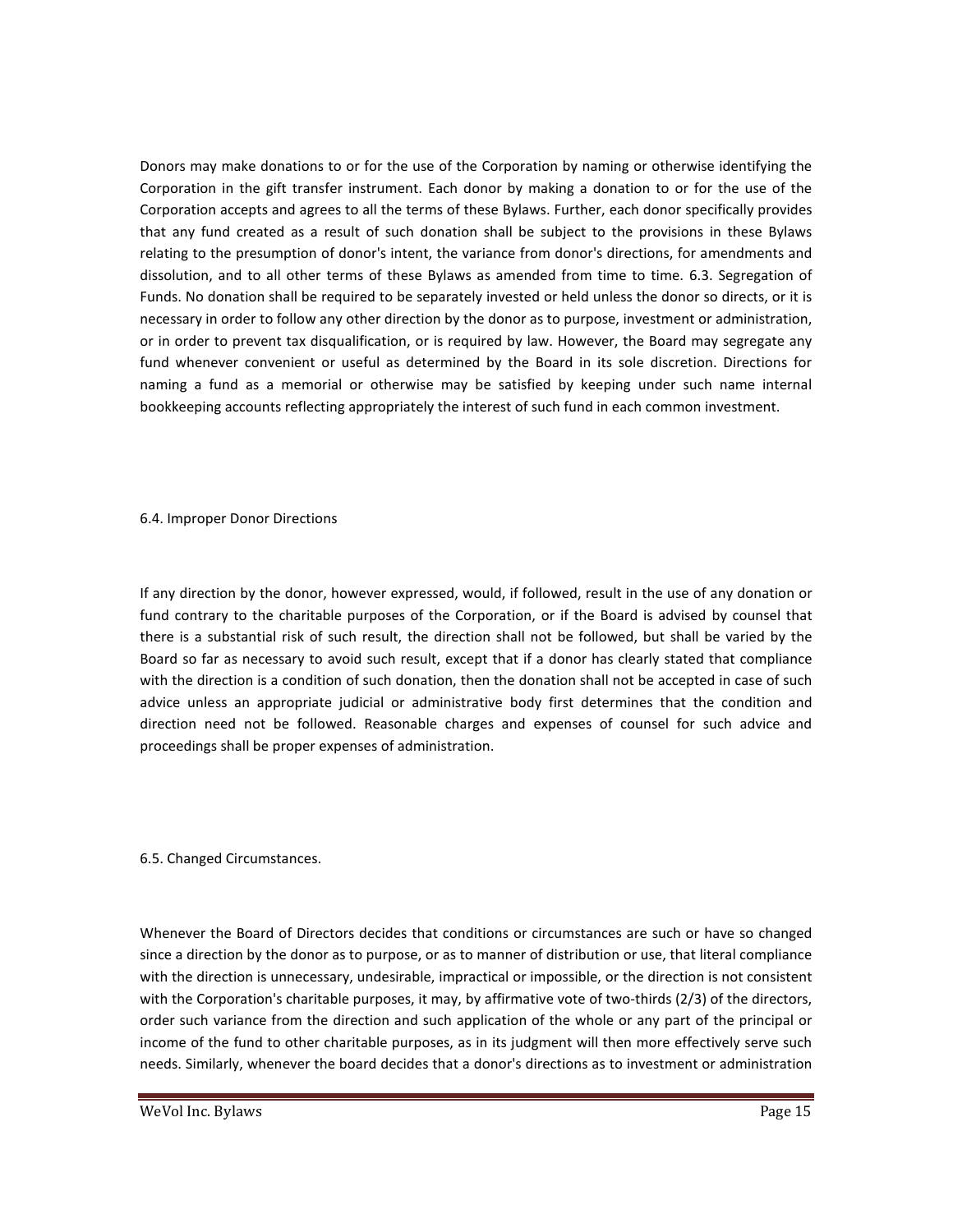Donors may make donations to or for the use of the Corporation by naming or otherwise identifying the Corporation in the gift transfer instrument. Each donor by making a donation to or for the use of the Corporation accepts and agrees to all the terms of these Bylaws. Further, each donor specifically provides that any fund created as a result of such donation shall be subject to the provisions in these Bylaws relating to the presumption of donor's intent, the variance from donor's directions, for amendments and dissolution, and to all other terms of these Bylaws as amended from time to time. 6.3. Segregation of Funds. No donation shall be required to be separately invested or held unless the donor so directs, or it is necessary in order to follow any other direction by the donor as to purpose, investment or administration, or in order to prevent tax disqualification, or is required by law. However, the Board may segregate any fund whenever convenient or useful as determined by the Board in its sole discretion. Directions for naming a fund as a memorial or otherwise may be satisfied by keeping under such name internal bookkeeping accounts reflecting appropriately the interest of such fund in each common investment.

6.4. Improper Donor Directions

If any direction by the donor, however expressed, would, if followed, result in the use of any donation or fund contrary to the charitable purposes of the Corporation, or if the Board is advised by counsel that there is a substantial risk of such result, the direction shall not be followed, but shall be varied by the Board so far as necessary to avoid such result, except that if a donor has clearly stated that compliance with the direction is a condition of such donation, then the donation shall not be accepted in case of such advice unless an appropriate judicial or administrative body first determines that the condition and direction need not be followed. Reasonable charges and expenses of counsel for such advice and proceedings shall be proper expenses of administration.

6.5. Changed Circumstances.

Whenever the Board of Directors decides that conditions or circumstances are such or have so changed since a direction by the donor as to purpose, or as to manner of distribution or use, that literal compliance with the direction is unnecessary, undesirable, impractical or impossible, or the direction is not consistent with the Corporation's charitable purposes, it may, by affirmative vote of two-thirds (2/3) of the directors, order such variance from the direction and such application of the whole or any part of the principal or income of the fund to other charitable purposes, as in its judgment will then more effectively serve such needs. Similarly, whenever the board decides that a donor's directions as to investment or administration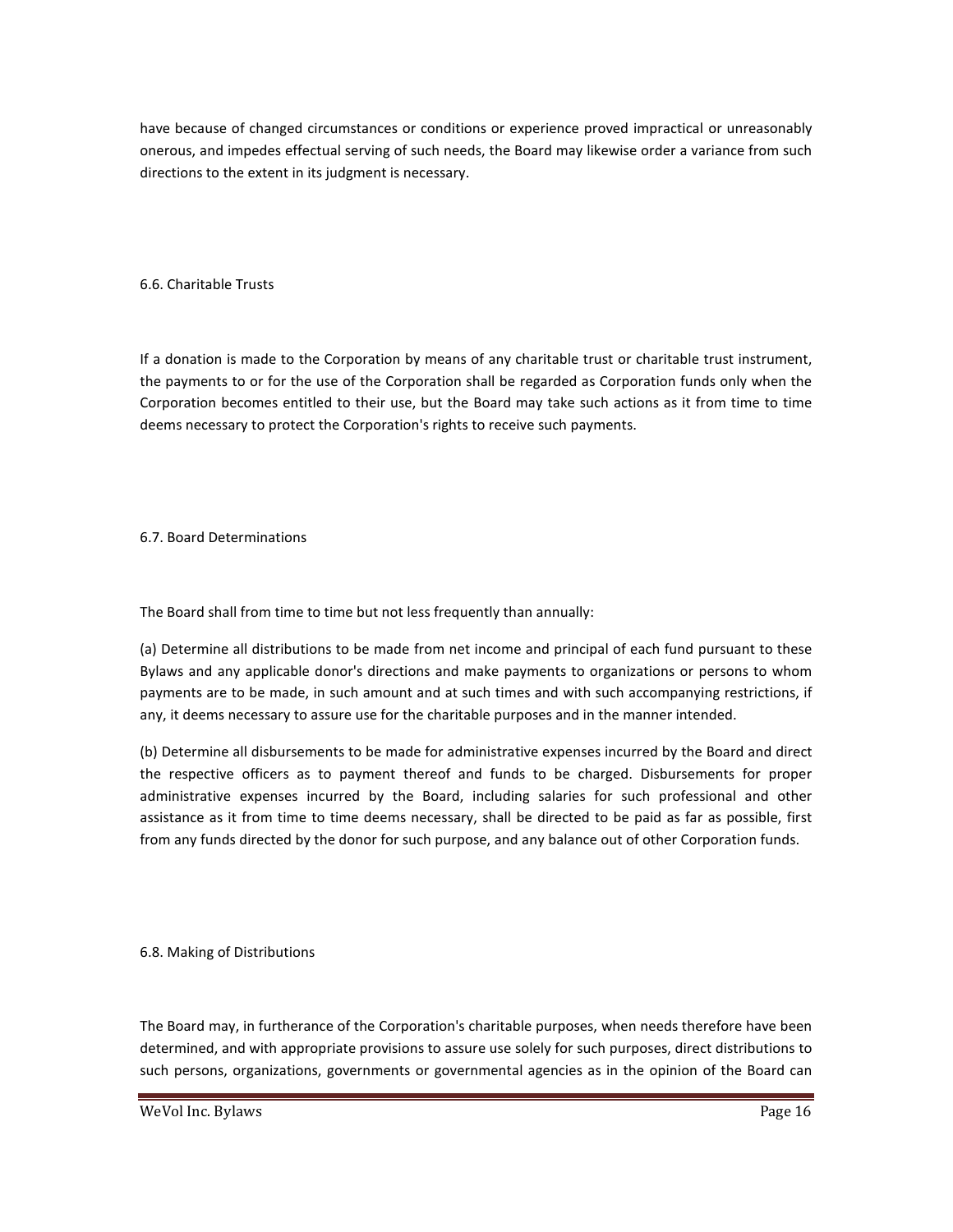have because of changed circumstances or conditions or experience proved impractical or unreasonably onerous, and impedes effectual serving of such needs, the Board may likewise order a variance from such directions to the extent in its judgment is necessary.

6.6. Charitable Trusts

If a donation is made to the Corporation by means of any charitable trust or charitable trust instrument, the payments to or for the use of the Corporation shall be regarded as Corporation funds only when the Corporation becomes entitled to their use, but the Board may take such actions as it from time to time deems necessary to protect the Corporation's rights to receive such payments.

6.7. Board Determinations

The Board shall from time to time but not less frequently than annually:

(a) Determine all distributions to be made from net income and principal of each fund pursuant to these Bylaws and any applicable donor's directions and make payments to organizations or persons to whom payments are to be made, in such amount and at such times and with such accompanying restrictions, if any, it deems necessary to assure use for the charitable purposes and in the manner intended.

(b) Determine all disbursements to be made for administrative expenses incurred by the Board and direct the respective officers as to payment thereof and funds to be charged. Disbursements for proper administrative expenses incurred by the Board, including salaries for such professional and other assistance as it from time to time deems necessary, shall be directed to be paid as far as possible, first from any funds directed by the donor for such purpose, and any balance out of other Corporation funds.

6.8. Making of Distributions

The Board may, in furtherance of the Corporation's charitable purposes, when needs therefore have been determined, and with appropriate provisions to assure use solely for such purposes, direct distributions to such persons, organizations, governments or governmental agencies as in the opinion of the Board can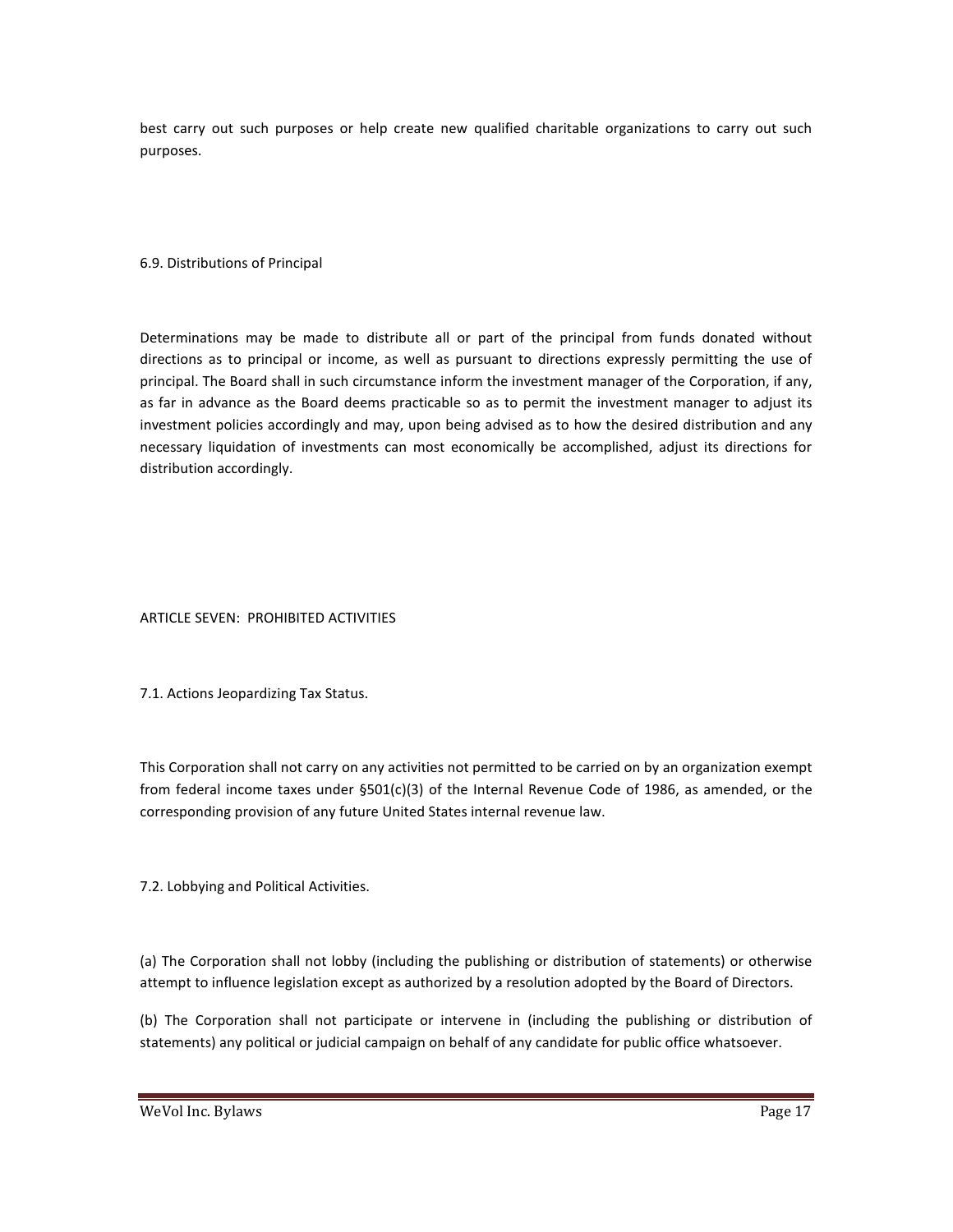best carry out such purposes or help create new qualified charitable organizations to carry out such purposes.

#### 6.9. Distributions of Principal

Determinations may be made to distribute all or part of the principal from funds donated without directions as to principal or income, as well as pursuant to directions expressly permitting the use of principal. The Board shall in such circumstance inform the investment manager of the Corporation, if any, as far in advance as the Board deems practicable so as to permit the investment manager to adjust its investment policies accordingly and may, upon being advised as to how the desired distribution and any necessary liquidation of investments can most economically be accomplished, adjust its directions for distribution accordingly.

#### ARTICLE SEVEN: PROHIBITED ACTIVITIES

7.1. Actions Jeopardizing Tax Status.

This Corporation shall not carry on any activities not permitted to be carried on by an organization exempt from federal income taxes under §501(c)(3) of the Internal Revenue Code of 1986, as amended, or the corresponding provision of any future United States internal revenue law.

7.2. Lobbying and Political Activities.

(a) The Corporation shall not lobby (including the publishing or distribution of statements) or otherwise attempt to influence legislation except as authorized by a resolution adopted by the Board of Directors.

(b) The Corporation shall not participate or intervene in (including the publishing or distribution of statements) any political or judicial campaign on behalf of any candidate for public office whatsoever.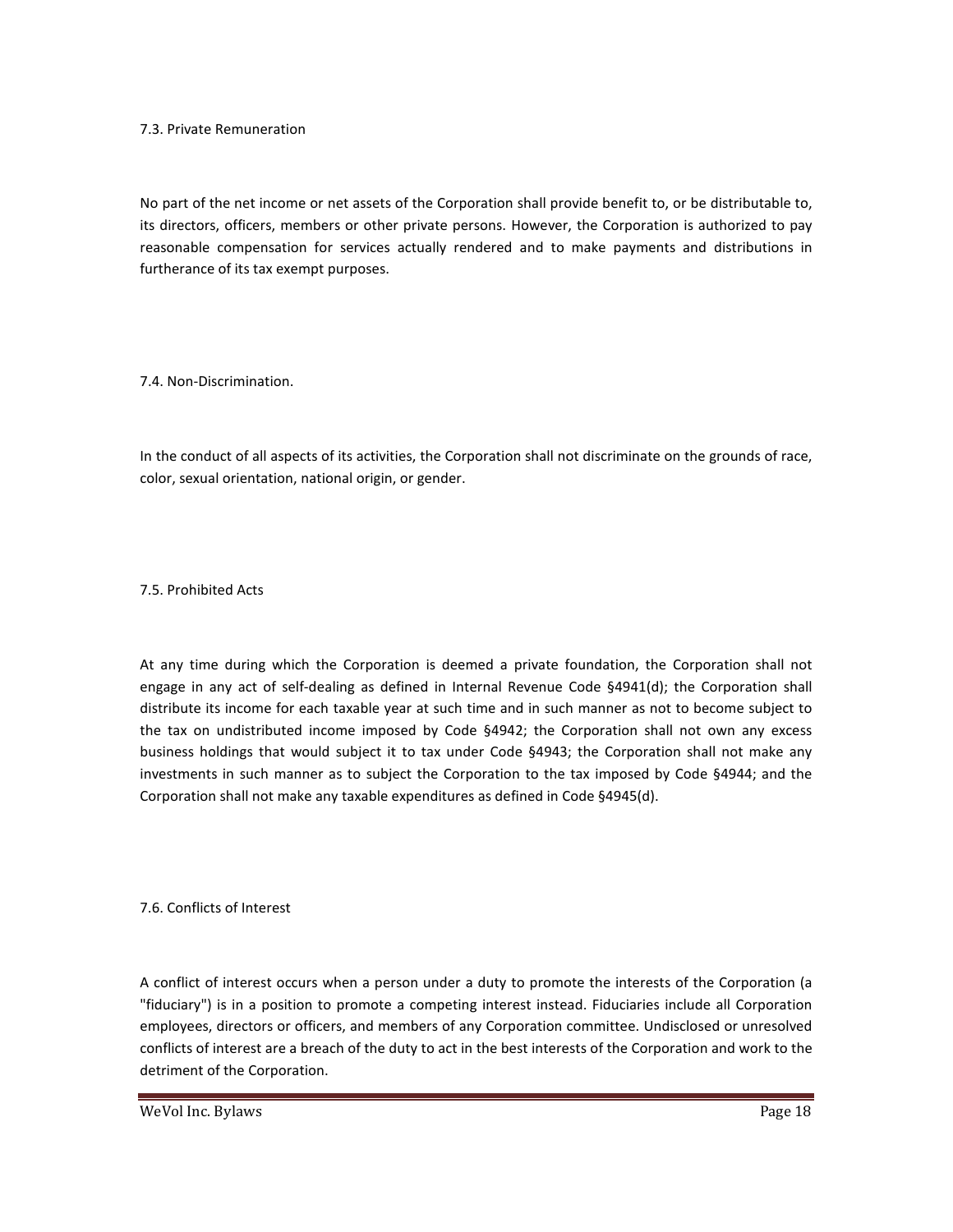#### 7.3. Private Remuneration

No part of the net income or net assets of the Corporation shall provide benefit to, or be distributable to, its directors, officers, members or other private persons. However, the Corporation is authorized to pay reasonable compensation for services actually rendered and to make payments and distributions in furtherance of its tax exempt purposes.

7.4. Non-Discrimination.

In the conduct of all aspects of its activities, the Corporation shall not discriminate on the grounds of race, color, sexual orientation, national origin, or gender.

7.5. Prohibited Acts

At any time during which the Corporation is deemed a private foundation, the Corporation shall not engage in any act of self-dealing as defined in Internal Revenue Code §4941(d); the Corporation shall distribute its income for each taxable year at such time and in such manner as not to become subject to the tax on undistributed income imposed by Code §4942; the Corporation shall not own any excess business holdings that would subject it to tax under Code §4943; the Corporation shall not make any investments in such manner as to subject the Corporation to the tax imposed by Code §4944; and the Corporation shall not make any taxable expenditures as defined in Code §4945(d).

7.6. Conflicts of Interest

A conflict of interest occurs when a person under a duty to promote the interests of the Corporation (a "fiduciary") is in a position to promote a competing interest instead. Fiduciaries include all Corporation employees, directors or officers, and members of any Corporation committee. Undisclosed or unresolved conflicts of interest are a breach of the duty to act in the best interests of the Corporation and work to the detriment of the Corporation.

WeVol Inc. Bylaws **Page 18**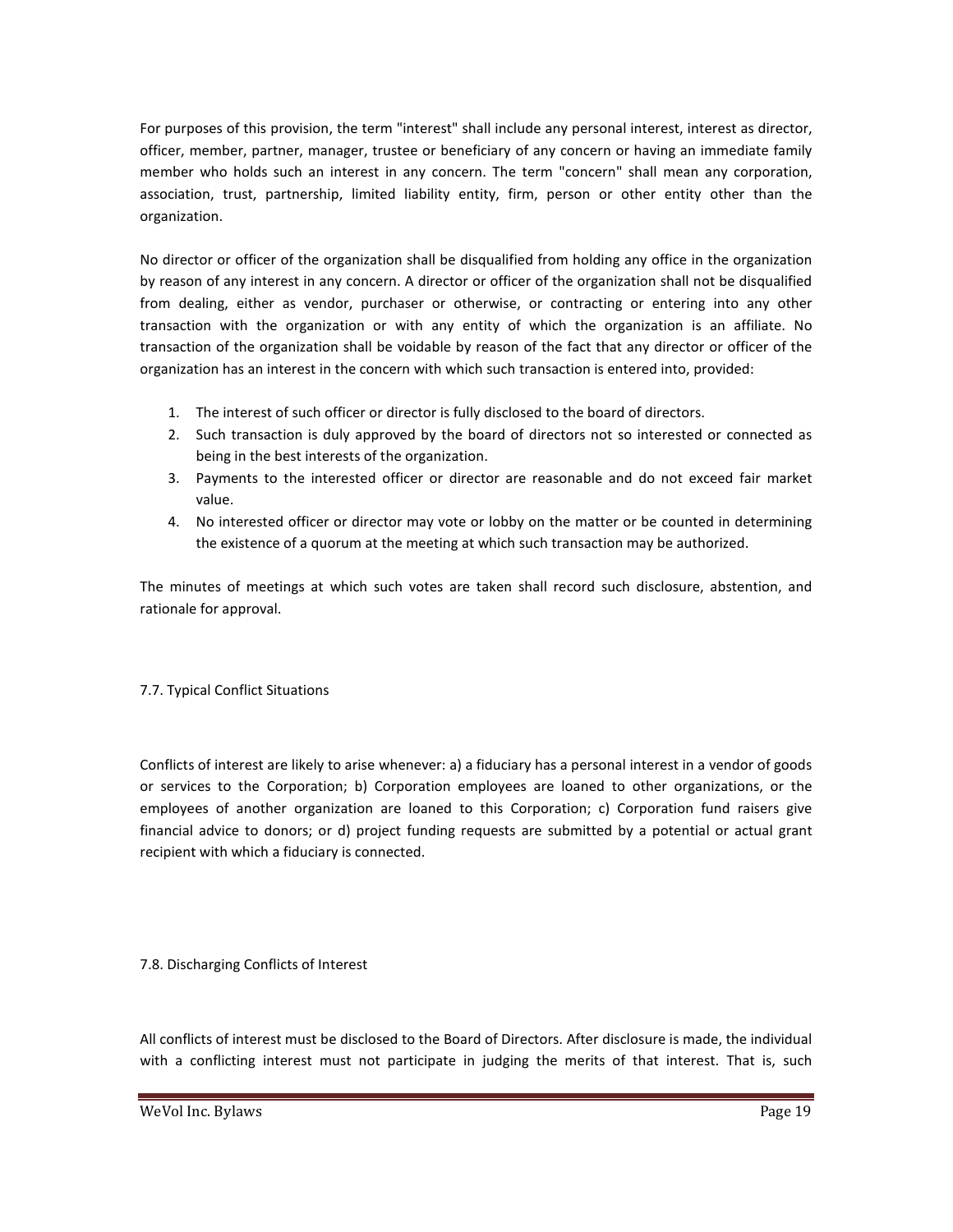For purposes of this provision, the term "interest" shall include any personal interest, interest as director, officer, member, partner, manager, trustee or beneficiary of any concern or having an immediate family member who holds such an interest in any concern. The term "concern" shall mean any corporation, association, trust, partnership, limited liability entity, firm, person or other entity other than the organization.

No director or officer of the organization shall be disqualified from holding any office in the organization by reason of any interest in any concern. A director or officer of the organization shall not be disqualified from dealing, either as vendor, purchaser or otherwise, or contracting or entering into any other transaction with the organization or with any entity of which the organization is an affiliate. No transaction of the organization shall be voidable by reason of the fact that any director or officer of the organization has an interest in the concern with which such transaction is entered into, provided:

- 1. The interest of such officer or director is fully disclosed to the board of directors.
- 2. Such transaction is duly approved by the board of directors not so interested or connected as being in the best interests of the organization.
- 3. Payments to the interested officer or director are reasonable and do not exceed fair market value.
- 4. No interested officer or director may vote or lobby on the matter or be counted in determining the existence of a quorum at the meeting at which such transaction may be authorized.

The minutes of meetings at which such votes are taken shall record such disclosure, abstention, and rationale for approval.

#### 7.7. Typical Conflict Situations

Conflicts of interest are likely to arise whenever: a) a fiduciary has a personal interest in a vendor of goods or services to the Corporation; b) Corporation employees are loaned to other organizations, or the employees of another organization are loaned to this Corporation; c) Corporation fund raisers give financial advice to donors; or d) project funding requests are submitted by a potential or actual grant recipient with which a fiduciary is connected.

#### 7.8. Discharging Conflicts of Interest

All conflicts of interest must be disclosed to the Board of Directors. After disclosure is made, the individual with a conflicting interest must not participate in judging the merits of that interest. That is, such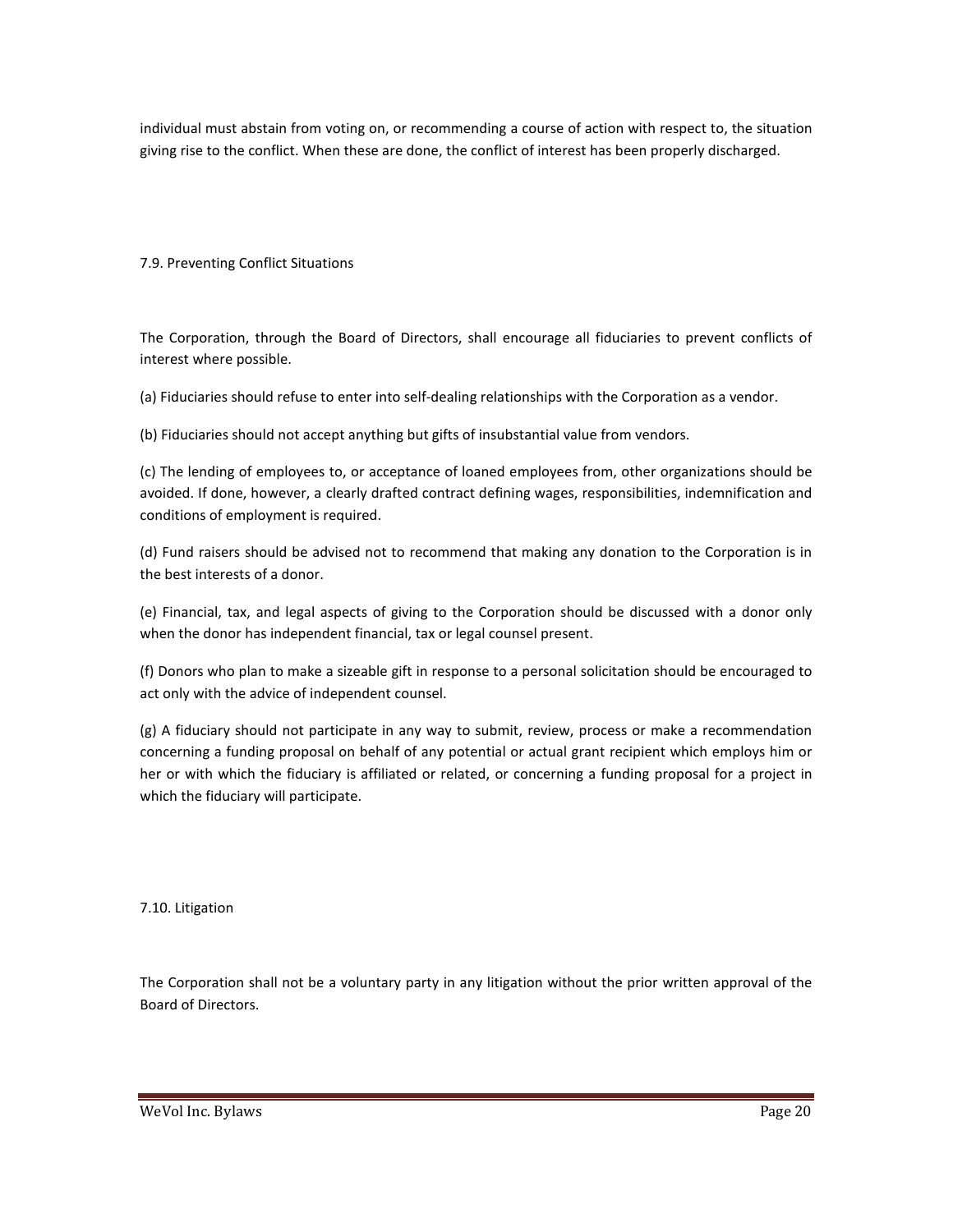individual must abstain from voting on, or recommending a course of action with respect to, the situation giving rise to the conflict. When these are done, the conflict of interest has been properly discharged.

#### 7.9. Preventing Conflict Situations

The Corporation, through the Board of Directors, shall encourage all fiduciaries to prevent conflicts of interest where possible.

(a) Fiduciaries should refuse to enter into self-dealing relationships with the Corporation as a vendor.

(b) Fiduciaries should not accept anything but gifts of insubstantial value from vendors.

(c) The lending of employees to, or acceptance of loaned employees from, other organizations should be avoided. If done, however, a clearly drafted contract defining wages, responsibilities, indemnification and conditions of employment is required.

(d) Fund raisers should be advised not to recommend that making any donation to the Corporation is in the best interests of a donor.

(e) Financial, tax, and legal aspects of giving to the Corporation should be discussed with a donor only when the donor has independent financial, tax or legal counsel present.

(f) Donors who plan to make a sizeable gift in response to a personal solicitation should be encouraged to act only with the advice of independent counsel.

(g) A fiduciary should not participate in any way to submit, review, process or make a recommendation concerning a funding proposal on behalf of any potential or actual grant recipient which employs him or her or with which the fiduciary is affiliated or related, or concerning a funding proposal for a project in which the fiduciary will participate.

7.10. Litigation

The Corporation shall not be a voluntary party in any litigation without the prior written approval of the Board of Directors.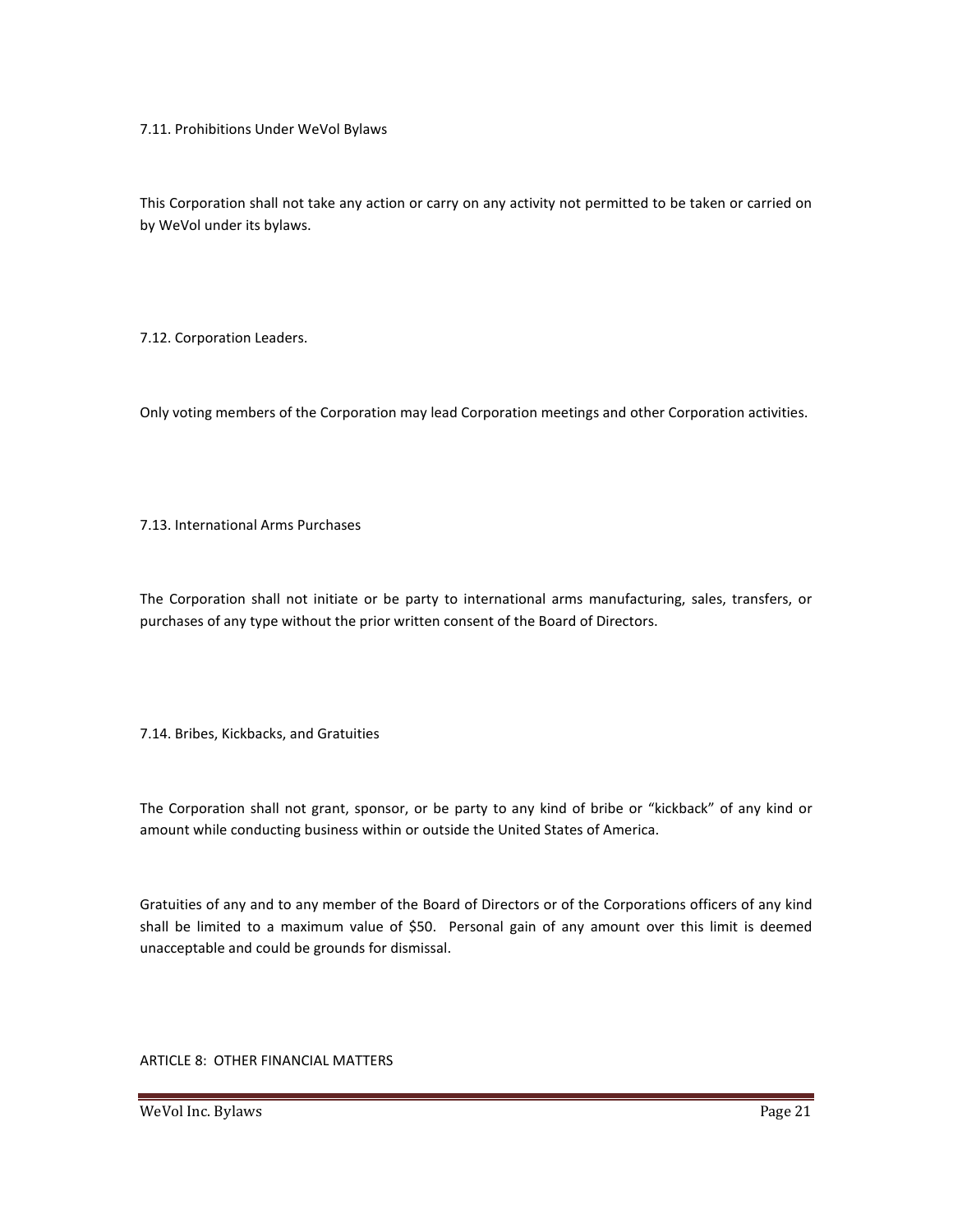7.11. Prohibitions Under WeVol Bylaws

This Corporation shall not take any action or carry on any activity not permitted to be taken or carried on by WeVol under its bylaws.

7.12. Corporation Leaders.

Only voting members of the Corporation may lead Corporation meetings and other Corporation activities.

7.13. International Arms Purchases

The Corporation shall not initiate or be party to international arms manufacturing, sales, transfers, or purchases of any type without the prior written consent of the Board of Directors.

7.14. Bribes, Kickbacks, and Gratuities

The Corporation shall not grant, sponsor, or be party to any kind of bribe or "kickback" of any kind or amount while conducting business within or outside the United States of America.

Gratuities of any and to any member of the Board of Directors or of the Corporations officers of any kind shall be limited to a maximum value of \$50. Personal gain of any amount over this limit is deemed unacceptable and could be grounds for dismissal.

ARTICLE 8: OTHER FINANCIAL MATTERS

WeVol Inc. Bylaws **Page 21**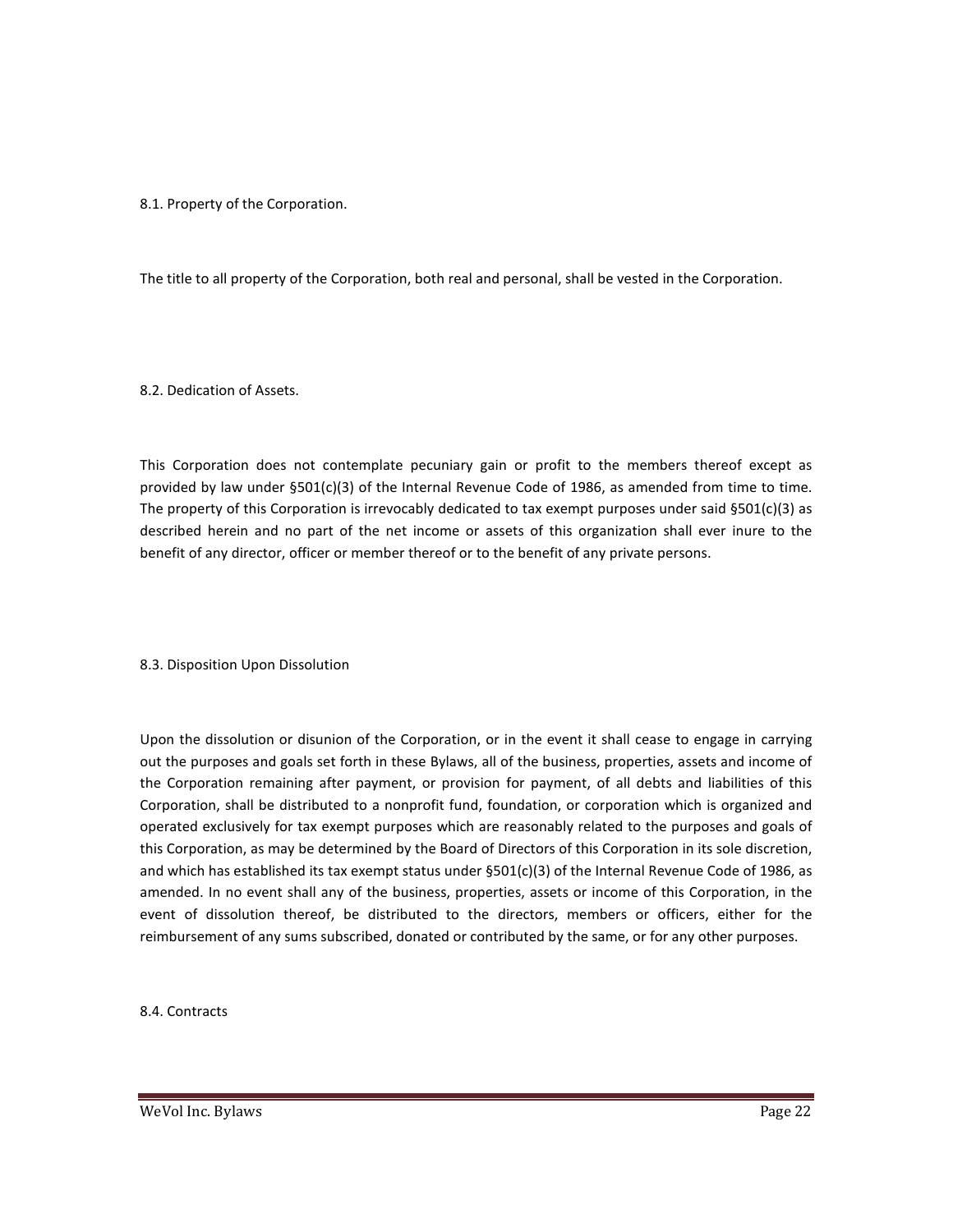#### 8.1. Property of the Corporation.

The title to all property of the Corporation, both real and personal, shall be vested in the Corporation.

8.2. Dedication of Assets.

This Corporation does not contemplate pecuniary gain or profit to the members thereof except as provided by law under §501(c)(3) of the Internal Revenue Code of 1986, as amended from time to time. The property of this Corporation is irrevocably dedicated to tax exempt purposes under said §501(c)(3) as described herein and no part of the net income or assets of this organization shall ever inure to the benefit of any director, officer or member thereof or to the benefit of any private persons.

8.3. Disposition Upon Dissolution

Upon the dissolution or disunion of the Corporation, or in the event it shall cease to engage in carrying out the purposes and goals set forth in these Bylaws, all of the business, properties, assets and income of the Corporation remaining after payment, or provision for payment, of all debts and liabilities of this Corporation, shall be distributed to a nonprofit fund, foundation, or corporation which is organized and operated exclusively for tax exempt purposes which are reasonably related to the purposes and goals of this Corporation, as may be determined by the Board of Directors of this Corporation in its sole discretion, and which has established its tax exempt status under §501(c)(3) of the Internal Revenue Code of 1986, as amended. In no event shall any of the business, properties, assets or income of this Corporation, in the event of dissolution thereof, be distributed to the directors, members or officers, either for the reimbursement of any sums subscribed, donated or contributed by the same, or for any other purposes.

8.4. Contracts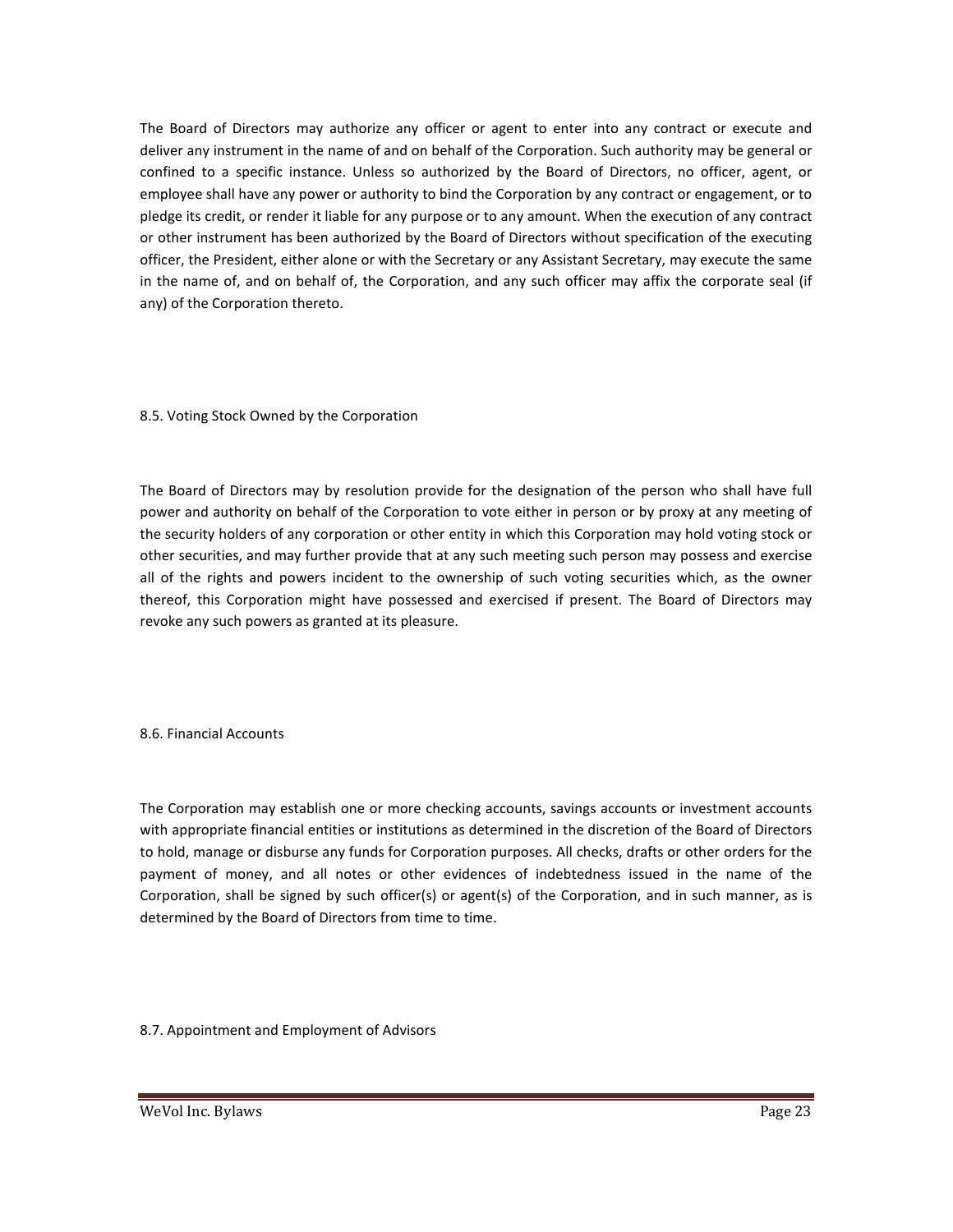The Board of Directors may authorize any officer or agent to enter into any contract or execute and deliver any instrument in the name of and on behalf of the Corporation. Such authority may be general or confined to a specific instance. Unless so authorized by the Board of Directors, no officer, agent, or employee shall have any power or authority to bind the Corporation by any contract or engagement, or to pledge its credit, or render it liable for any purpose or to any amount. When the execution of any contract or other instrument has been authorized by the Board of Directors without specification of the executing officer, the President, either alone or with the Secretary or any Assistant Secretary, may execute the same in the name of, and on behalf of, the Corporation, and any such officer may affix the corporate seal (if any) of the Corporation thereto.

#### 8.5. Voting Stock Owned by the Corporation

The Board of Directors may by resolution provide for the designation of the person who shall have full power and authority on behalf of the Corporation to vote either in person or by proxy at any meeting of the security holders of any corporation or other entity in which this Corporation may hold voting stock or other securities, and may further provide that at any such meeting such person may possess and exercise all of the rights and powers incident to the ownership of such voting securities which, as the owner thereof, this Corporation might have possessed and exercised if present. The Board of Directors may revoke any such powers as granted at its pleasure.

#### 8.6. Financial Accounts

The Corporation may establish one or more checking accounts, savings accounts or investment accounts with appropriate financial entities or institutions as determined in the discretion of the Board of Directors to hold, manage or disburse any funds for Corporation purposes. All checks, drafts or other orders for the payment of money, and all notes or other evidences of indebtedness issued in the name of the Corporation, shall be signed by such officer(s) or agent(s) of the Corporation, and in such manner, as is determined by the Board of Directors from time to time.

8.7. Appointment and Employment of Advisors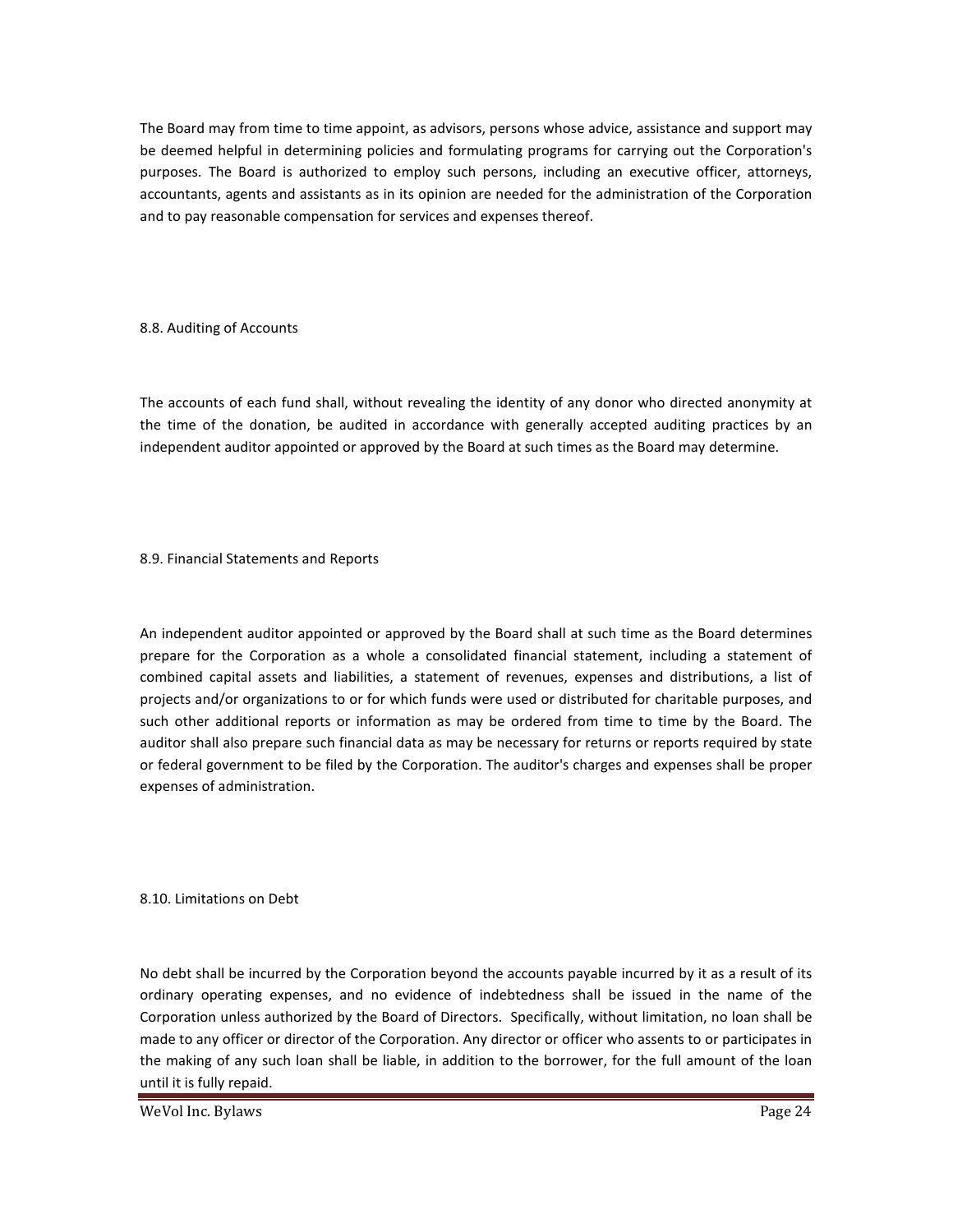The Board may from time to time appoint, as advisors, persons whose advice, assistance and support may be deemed helpful in determining policies and formulating programs for carrying out the Corporation's purposes. The Board is authorized to employ such persons, including an executive officer, attorneys, accountants, agents and assistants as in its opinion are needed for the administration of the Corporation and to pay reasonable compensation for services and expenses thereof.

#### 8.8. Auditing of Accounts

The accounts of each fund shall, without revealing the identity of any donor who directed anonymity at the time of the donation, be audited in accordance with generally accepted auditing practices by an independent auditor appointed or approved by the Board at such times as the Board may determine.

#### 8.9. Financial Statements and Reports

An independent auditor appointed or approved by the Board shall at such time as the Board determines prepare for the Corporation as a whole a consolidated financial statement, including a statement of combined capital assets and liabilities, a statement of revenues, expenses and distributions, a list of projects and/or organizations to or for which funds were used or distributed for charitable purposes, and such other additional reports or information as may be ordered from time to time by the Board. The auditor shall also prepare such financial data as may be necessary for returns or reports required by state or federal government to be filed by the Corporation. The auditor's charges and expenses shall be proper expenses of administration.

8.10. Limitations on Debt

No debt shall be incurred by the Corporation beyond the accounts payable incurred by it as a result of its ordinary operating expenses, and no evidence of indebtedness shall be issued in the name of the Corporation unless authorized by the Board of Directors. Specifically, without limitation, no loan shall be made to any officer or director of the Corporation. Any director or officer who assents to or participates in the making of any such loan shall be liable, in addition to the borrower, for the full amount of the loan until it is fully repaid.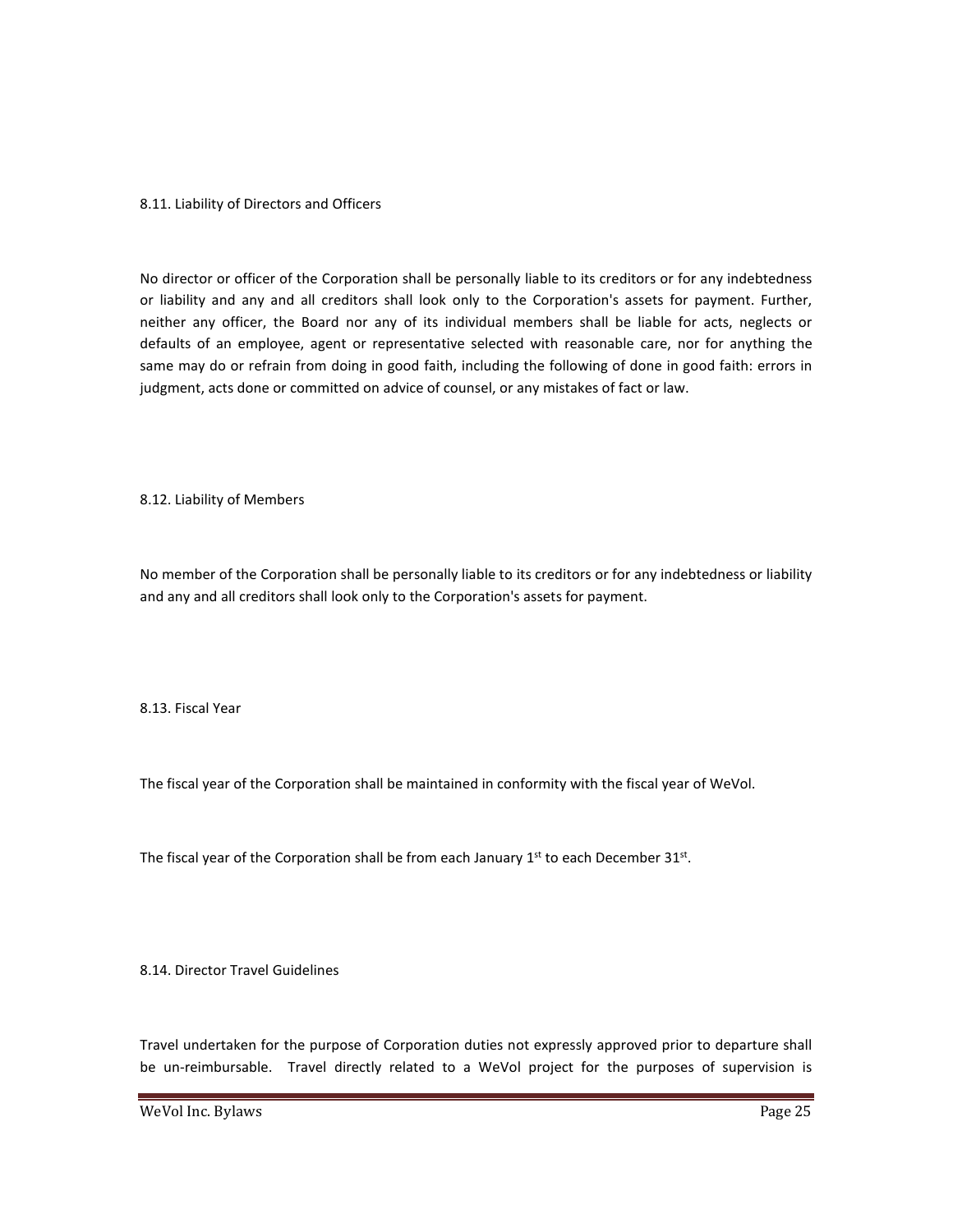#### 8.11. Liability of Directors and Officers

No director or officer of the Corporation shall be personally liable to its creditors or for any indebtedness or liability and any and all creditors shall look only to the Corporation's assets for payment. Further, neither any officer, the Board nor any of its individual members shall be liable for acts, neglects or defaults of an employee, agent or representative selected with reasonable care, nor for anything the same may do or refrain from doing in good faith, including the following of done in good faith: errors in judgment, acts done or committed on advice of counsel, or any mistakes of fact or law.

8.12. Liability of Members

No member of the Corporation shall be personally liable to its creditors or for any indebtedness or liability and any and all creditors shall look only to the Corporation's assets for payment.

8.13. Fiscal Year

The fiscal year of the Corporation shall be maintained in conformity with the fiscal year of WeVol.

The fiscal year of the Corporation shall be from each January  $1<sup>st</sup>$  to each December 31 $<sup>st</sup>$ .</sup>

8.14. Director Travel Guidelines

Travel undertaken for the purpose of Corporation duties not expressly approved prior to departure shall be un-reimbursable. Travel directly related to a WeVol project for the purposes of supervision is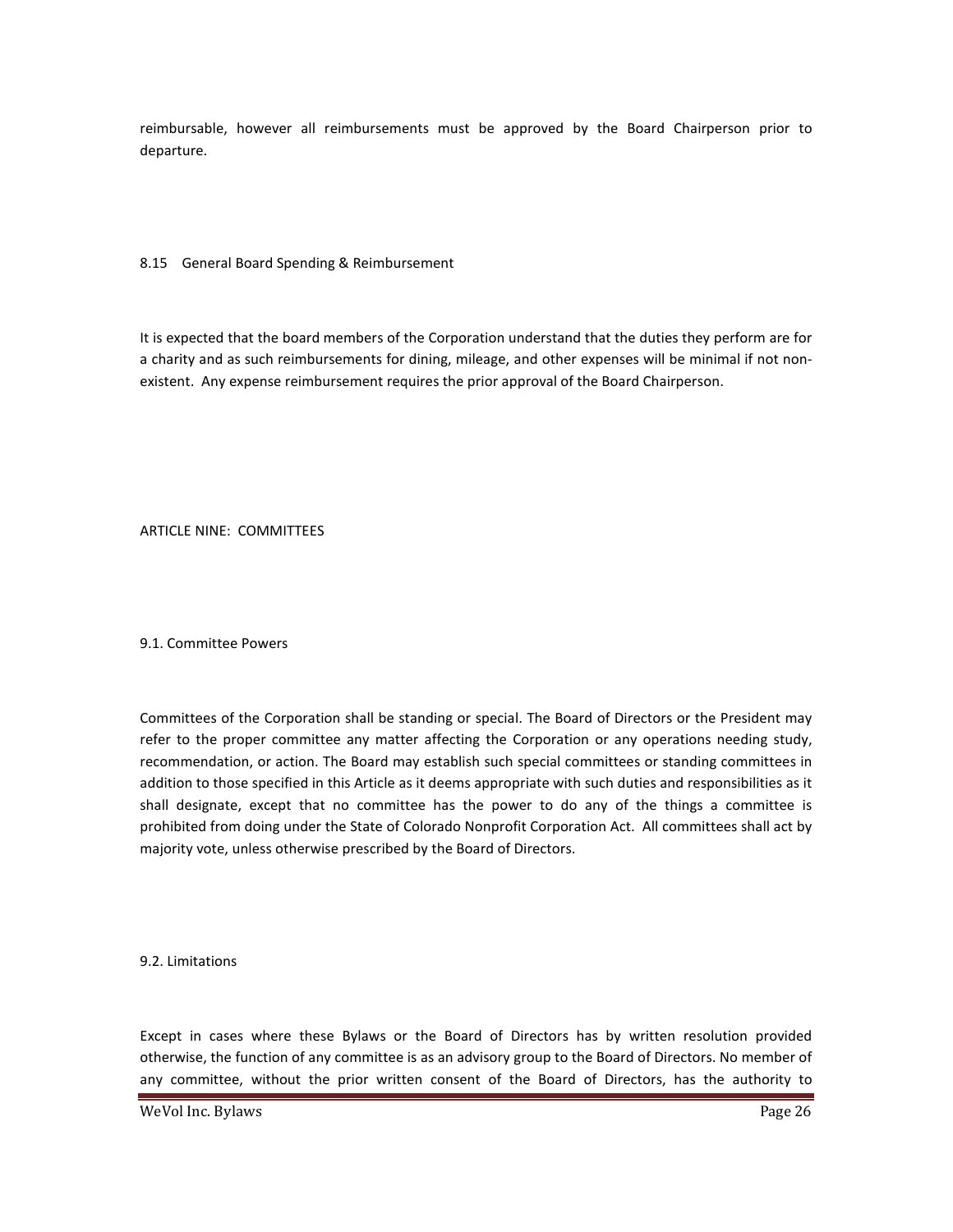reimbursable, however all reimbursements must be approved by the Board Chairperson prior to departure.

#### 8.15 General Board Spending & Reimbursement

It is expected that the board members of the Corporation understand that the duties they perform are for a charity and as such reimbursements for dining, mileage, and other expenses will be minimal if not nonexistent. Any expense reimbursement requires the prior approval of the Board Chairperson.

ARTICLE NINE: COMMITTEES

#### 9.1. Committee Powers

Committees of the Corporation shall be standing or special. The Board of Directors or the President may refer to the proper committee any matter affecting the Corporation or any operations needing study, recommendation, or action. The Board may establish such special committees or standing committees in addition to those specified in this Article as it deems appropriate with such duties and responsibilities as it shall designate, except that no committee has the power to do any of the things a committee is prohibited from doing under the State of Colorado Nonprofit Corporation Act. All committees shall act by majority vote, unless otherwise prescribed by the Board of Directors.

9.2. Limitations

Except in cases where these Bylaws or the Board of Directors has by written resolution provided otherwise, the function of any committee is as an advisory group to the Board of Directors. No member of any committee, without the prior written consent of the Board of Directors, has the authority to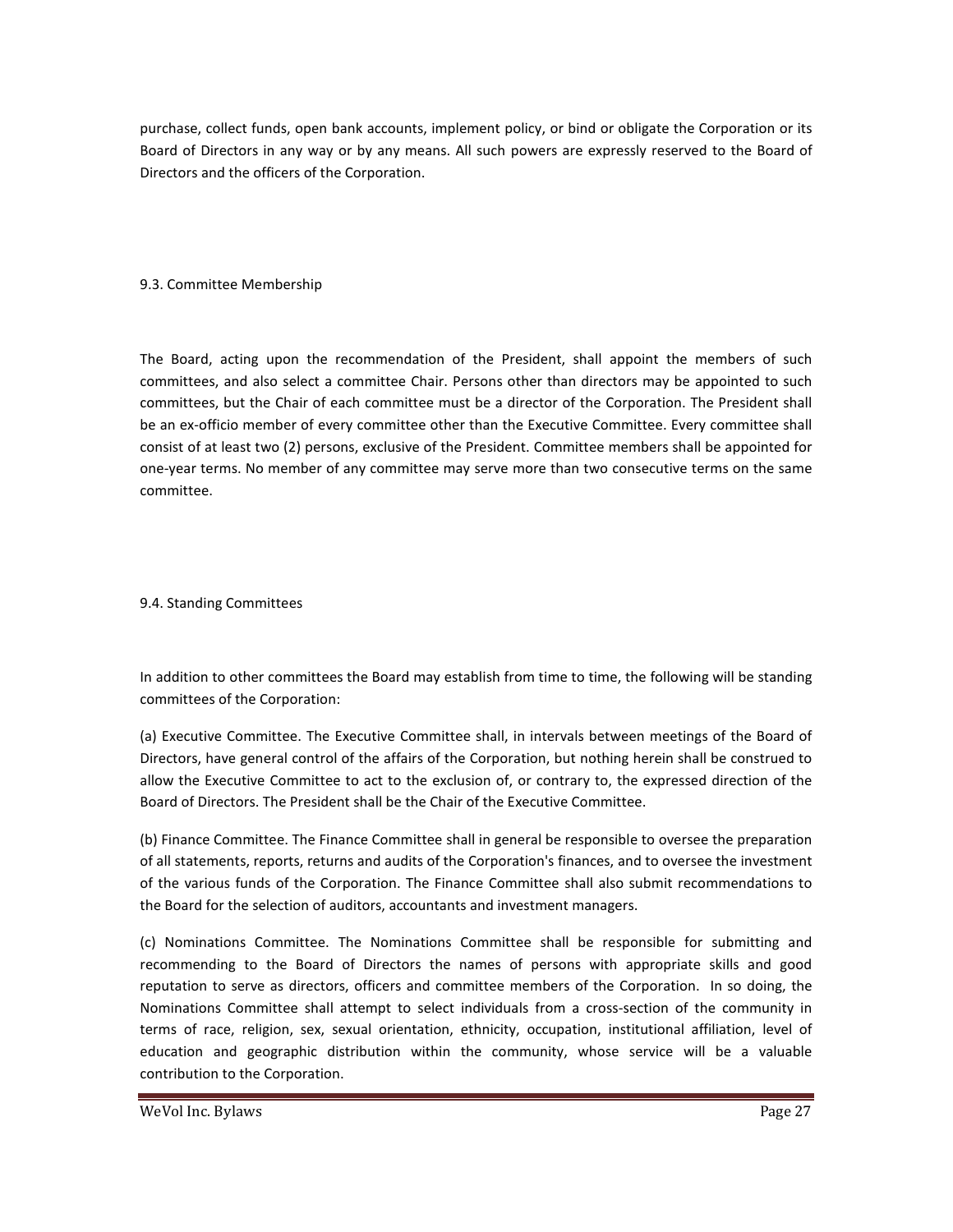purchase, collect funds, open bank accounts, implement policy, or bind or obligate the Corporation or its Board of Directors in any way or by any means. All such powers are expressly reserved to the Board of Directors and the officers of the Corporation.

#### 9.3. Committee Membership

The Board, acting upon the recommendation of the President, shall appoint the members of such committees, and also select a committee Chair. Persons other than directors may be appointed to such committees, but the Chair of each committee must be a director of the Corporation. The President shall be an ex-officio member of every committee other than the Executive Committee. Every committee shall consist of at least two (2) persons, exclusive of the President. Committee members shall be appointed for one-year terms. No member of any committee may serve more than two consecutive terms on the same committee.

#### 9.4. Standing Committees

In addition to other committees the Board may establish from time to time, the following will be standing committees of the Corporation:

(a) Executive Committee. The Executive Committee shall, in intervals between meetings of the Board of Directors, have general control of the affairs of the Corporation, but nothing herein shall be construed to allow the Executive Committee to act to the exclusion of, or contrary to, the expressed direction of the Board of Directors. The President shall be the Chair of the Executive Committee.

(b) Finance Committee. The Finance Committee shall in general be responsible to oversee the preparation of all statements, reports, returns and audits of the Corporation's finances, and to oversee the investment of the various funds of the Corporation. The Finance Committee shall also submit recommendations to the Board for the selection of auditors, accountants and investment managers.

(c) Nominations Committee. The Nominations Committee shall be responsible for submitting and recommending to the Board of Directors the names of persons with appropriate skills and good reputation to serve as directors, officers and committee members of the Corporation. In so doing, the Nominations Committee shall attempt to select individuals from a cross-section of the community in terms of race, religion, sex, sexual orientation, ethnicity, occupation, institutional affiliation, level of education and geographic distribution within the community, whose service will be a valuable contribution to the Corporation.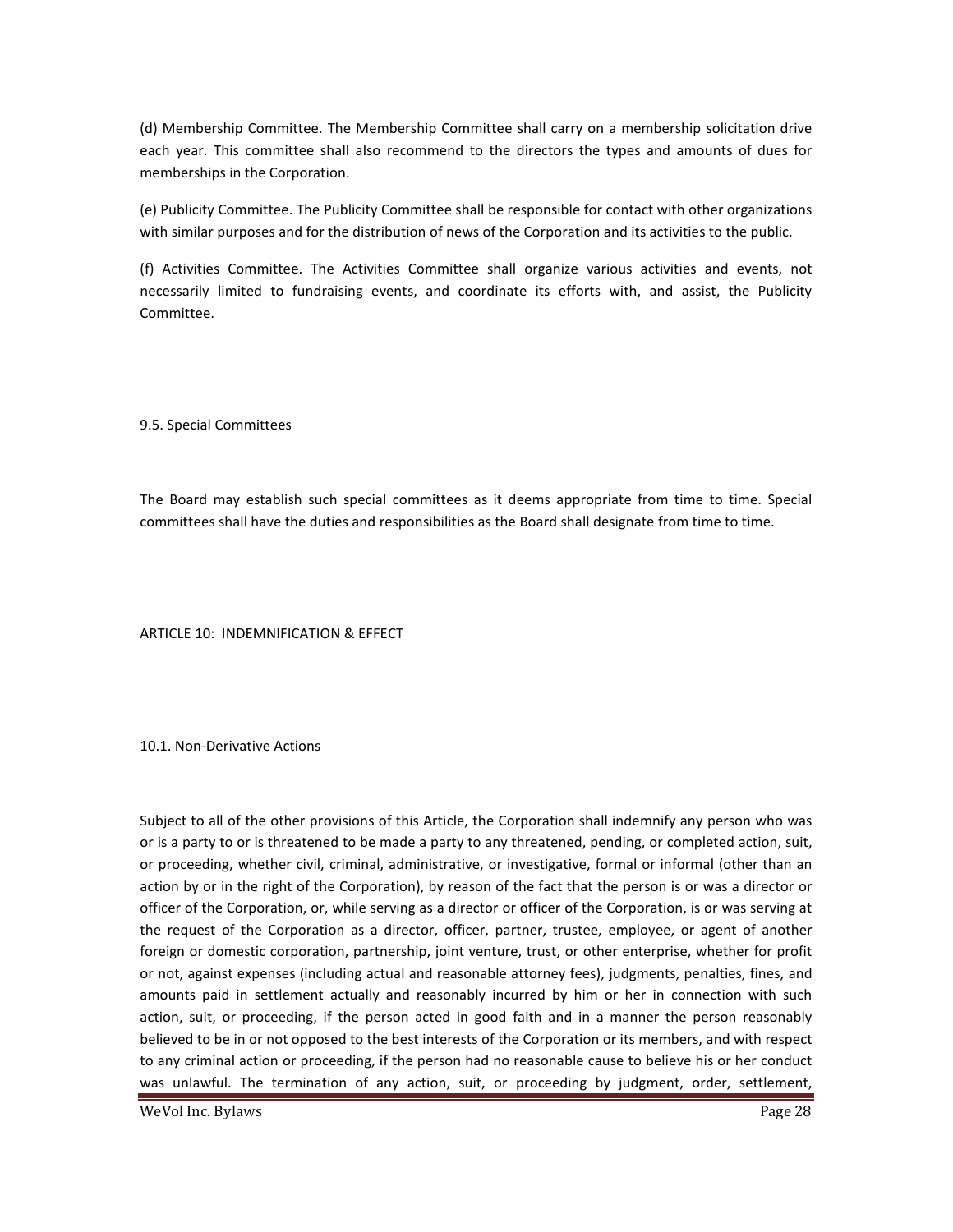(d) Membership Committee. The Membership Committee shall carry on a membership solicitation drive each year. This committee shall also recommend to the directors the types and amounts of dues for memberships in the Corporation.

(e) Publicity Committee. The Publicity Committee shall be responsible for contact with other organizations with similar purposes and for the distribution of news of the Corporation and its activities to the public.

(f) Activities Committee. The Activities Committee shall organize various activities and events, not necessarily limited to fundraising events, and coordinate its efforts with, and assist, the Publicity Committee.

9.5. Special Committees

The Board may establish such special committees as it deems appropriate from time to time. Special committees shall have the duties and responsibilities as the Board shall designate from time to time.

ARTICLE 10: INDEMNIFICATION & EFFECT

10.1. Non-Derivative Actions

Subject to all of the other provisions of this Article, the Corporation shall indemnify any person who was or is a party to or is threatened to be made a party to any threatened, pending, or completed action, suit, or proceeding, whether civil, criminal, administrative, or investigative, formal or informal (other than an action by or in the right of the Corporation), by reason of the fact that the person is or was a director or officer of the Corporation, or, while serving as a director or officer of the Corporation, is or was serving at the request of the Corporation as a director, officer, partner, trustee, employee, or agent of another foreign or domestic corporation, partnership, joint venture, trust, or other enterprise, whether for profit or not, against expenses (including actual and reasonable attorney fees), judgments, penalties, fines, and amounts paid in settlement actually and reasonably incurred by him or her in connection with such action, suit, or proceeding, if the person acted in good faith and in a manner the person reasonably believed to be in or not opposed to the best interests of the Corporation or its members, and with respect to any criminal action or proceeding, if the person had no reasonable cause to believe his or her conduct was unlawful. The termination of any action, suit, or proceeding by judgment, order, settlement,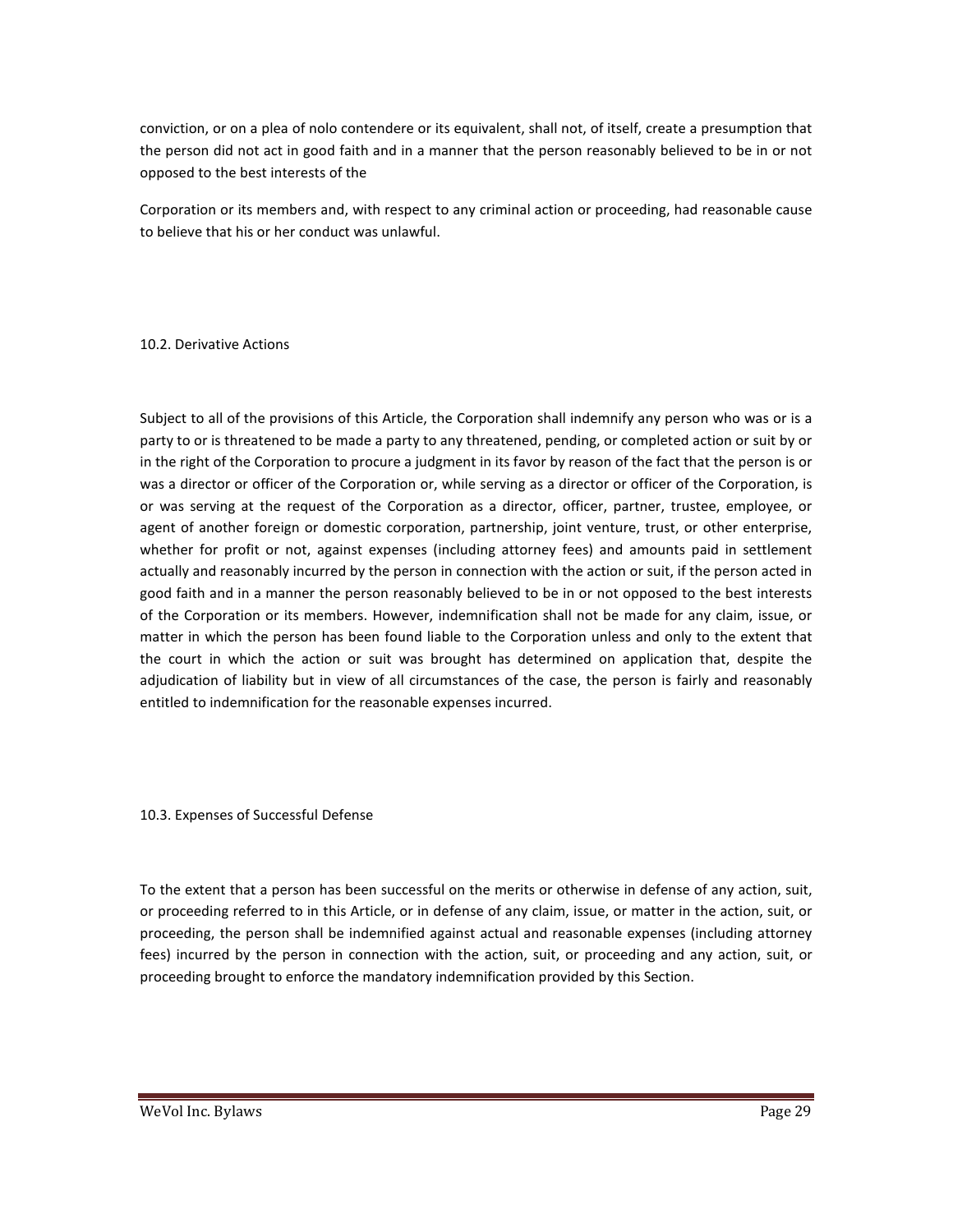conviction, or on a plea of nolo contendere or its equivalent, shall not, of itself, create a presumption that the person did not act in good faith and in a manner that the person reasonably believed to be in or not opposed to the best interests of the

Corporation or its members and, with respect to any criminal action or proceeding, had reasonable cause to believe that his or her conduct was unlawful.

#### 10.2. Derivative Actions

Subject to all of the provisions of this Article, the Corporation shall indemnify any person who was or is a party to or is threatened to be made a party to any threatened, pending, or completed action or suit by or in the right of the Corporation to procure a judgment in its favor by reason of the fact that the person is or was a director or officer of the Corporation or, while serving as a director or officer of the Corporation, is or was serving at the request of the Corporation as a director, officer, partner, trustee, employee, or agent of another foreign or domestic corporation, partnership, joint venture, trust, or other enterprise, whether for profit or not, against expenses (including attorney fees) and amounts paid in settlement actually and reasonably incurred by the person in connection with the action or suit, if the person acted in good faith and in a manner the person reasonably believed to be in or not opposed to the best interests of the Corporation or its members. However, indemnification shall not be made for any claim, issue, or matter in which the person has been found liable to the Corporation unless and only to the extent that the court in which the action or suit was brought has determined on application that, despite the adjudication of liability but in view of all circumstances of the case, the person is fairly and reasonably entitled to indemnification for the reasonable expenses incurred.

#### 10.3. Expenses of Successful Defense

To the extent that a person has been successful on the merits or otherwise in defense of any action, suit, or proceeding referred to in this Article, or in defense of any claim, issue, or matter in the action, suit, or proceeding, the person shall be indemnified against actual and reasonable expenses (including attorney fees) incurred by the person in connection with the action, suit, or proceeding and any action, suit, or proceeding brought to enforce the mandatory indemnification provided by this Section.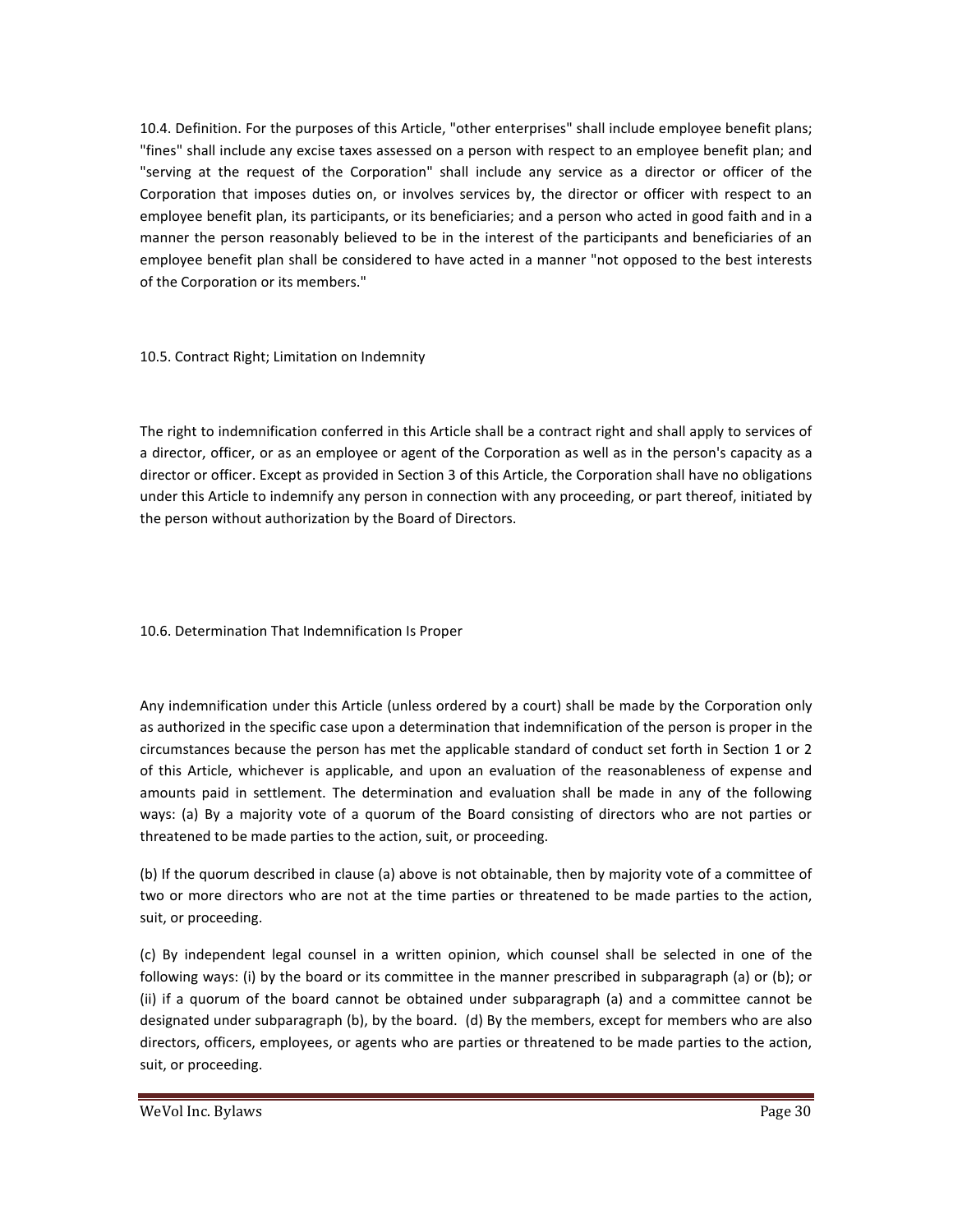10.4. Definition. For the purposes of this Article, "other enterprises" shall include employee benefit plans; "fines" shall include any excise taxes assessed on a person with respect to an employee benefit plan; and "serving at the request of the Corporation" shall include any service as a director or officer of the Corporation that imposes duties on, or involves services by, the director or officer with respect to an employee benefit plan, its participants, or its beneficiaries; and a person who acted in good faith and in a manner the person reasonably believed to be in the interest of the participants and beneficiaries of an employee benefit plan shall be considered to have acted in a manner "not opposed to the best interests of the Corporation or its members."

10.5. Contract Right; Limitation on Indemnity

The right to indemnification conferred in this Article shall be a contract right and shall apply to services of a director, officer, or as an employee or agent of the Corporation as well as in the person's capacity as a director or officer. Except as provided in Section 3 of this Article, the Corporation shall have no obligations under this Article to indemnify any person in connection with any proceeding, or part thereof, initiated by the person without authorization by the Board of Directors.

#### 10.6. Determination That Indemnification Is Proper

Any indemnification under this Article (unless ordered by a court) shall be made by the Corporation only as authorized in the specific case upon a determination that indemnification of the person is proper in the circumstances because the person has met the applicable standard of conduct set forth in Section 1 or 2 of this Article, whichever is applicable, and upon an evaluation of the reasonableness of expense and amounts paid in settlement. The determination and evaluation shall be made in any of the following ways: (a) By a majority vote of a quorum of the Board consisting of directors who are not parties or threatened to be made parties to the action, suit, or proceeding.

(b) If the quorum described in clause (a) above is not obtainable, then by majority vote of a committee of two or more directors who are not at the time parties or threatened to be made parties to the action, suit, or proceeding.

(c) By independent legal counsel in a written opinion, which counsel shall be selected in one of the following ways: (i) by the board or its committee in the manner prescribed in subparagraph (a) or (b); or (ii) if a quorum of the board cannot be obtained under subparagraph (a) and a committee cannot be designated under subparagraph (b), by the board. (d) By the members, except for members who are also directors, officers, employees, or agents who are parties or threatened to be made parties to the action, suit, or proceeding.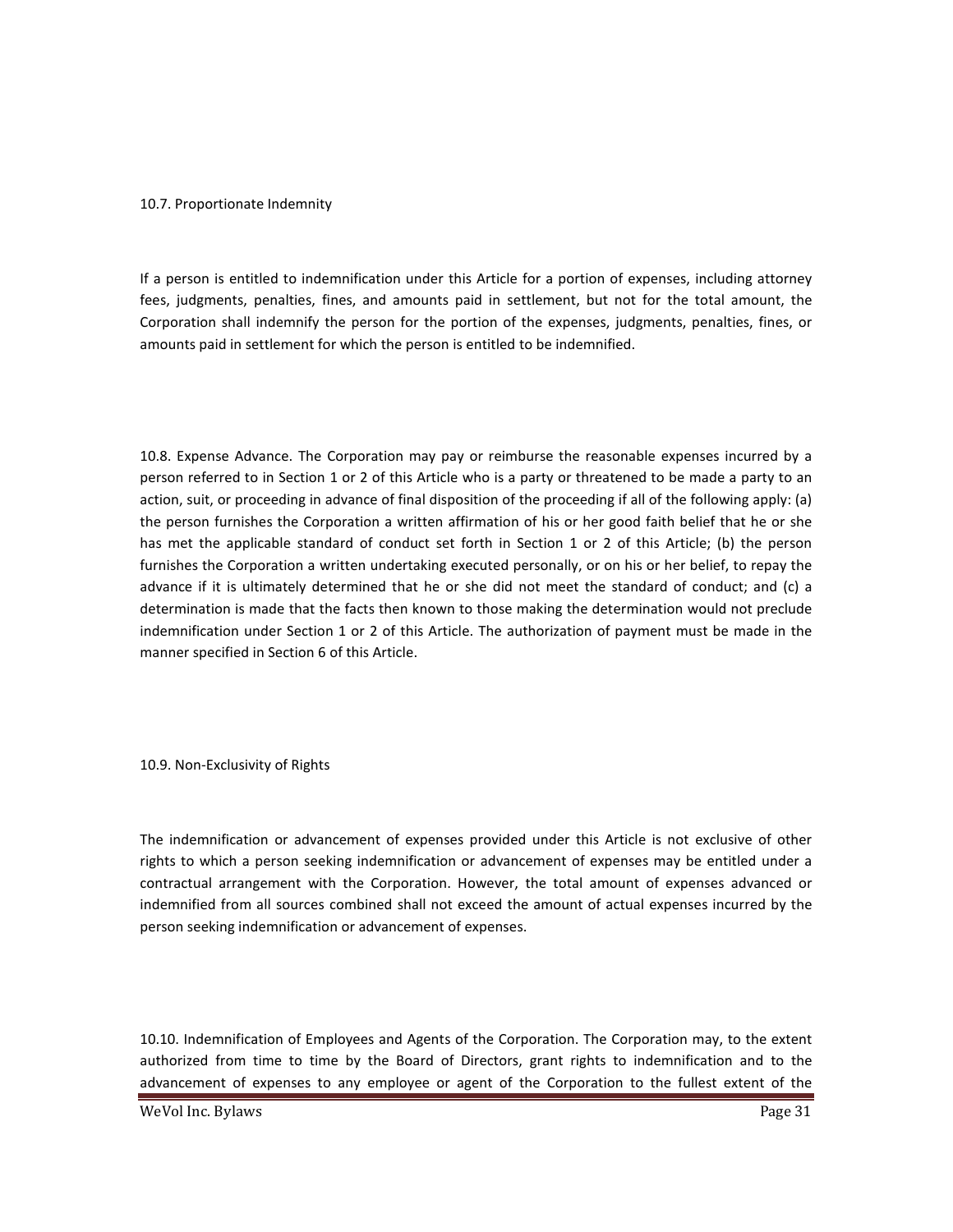#### 10.7. Proportionate Indemnity

If a person is entitled to indemnification under this Article for a portion of expenses, including attorney fees, judgments, penalties, fines, and amounts paid in settlement, but not for the total amount, the Corporation shall indemnify the person for the portion of the expenses, judgments, penalties, fines, or amounts paid in settlement for which the person is entitled to be indemnified.

10.8. Expense Advance. The Corporation may pay or reimburse the reasonable expenses incurred by a person referred to in Section 1 or 2 of this Article who is a party or threatened to be made a party to an action, suit, or proceeding in advance of final disposition of the proceeding if all of the following apply: (a) the person furnishes the Corporation a written affirmation of his or her good faith belief that he or she has met the applicable standard of conduct set forth in Section 1 or 2 of this Article; (b) the person furnishes the Corporation a written undertaking executed personally, or on his or her belief, to repay the advance if it is ultimately determined that he or she did not meet the standard of conduct; and (c) a determination is made that the facts then known to those making the determination would not preclude indemnification under Section 1 or 2 of this Article. The authorization of payment must be made in the manner specified in Section 6 of this Article.

10.9. Non-Exclusivity of Rights

The indemnification or advancement of expenses provided under this Article is not exclusive of other rights to which a person seeking indemnification or advancement of expenses may be entitled under a contractual arrangement with the Corporation. However, the total amount of expenses advanced or indemnified from all sources combined shall not exceed the amount of actual expenses incurred by the person seeking indemnification or advancement of expenses.

10.10. Indemnification of Employees and Agents of the Corporation. The Corporation may, to the extent authorized from time to time by the Board of Directors, grant rights to indemnification and to the advancement of expenses to any employee or agent of the Corporation to the fullest extent of the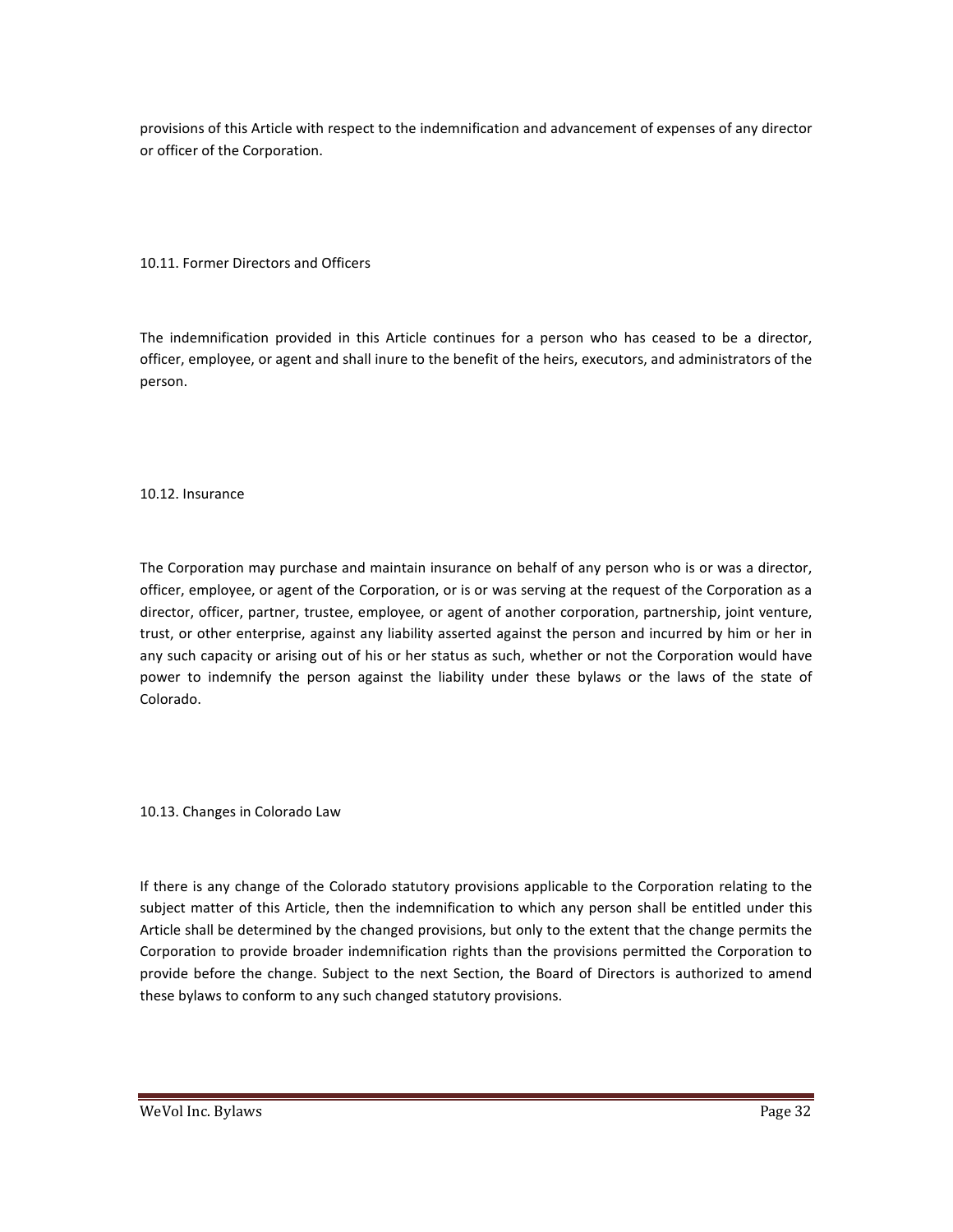provisions of this Article with respect to the indemnification and advancement of expenses of any director or officer of the Corporation.

10.11. Former Directors and Officers

The indemnification provided in this Article continues for a person who has ceased to be a director, officer, employee, or agent and shall inure to the benefit of the heirs, executors, and administrators of the person.

10.12. Insurance

The Corporation may purchase and maintain insurance on behalf of any person who is or was a director, officer, employee, or agent of the Corporation, or is or was serving at the request of the Corporation as a director, officer, partner, trustee, employee, or agent of another corporation, partnership, joint venture, trust, or other enterprise, against any liability asserted against the person and incurred by him or her in any such capacity or arising out of his or her status as such, whether or not the Corporation would have power to indemnify the person against the liability under these bylaws or the laws of the state of Colorado.

10.13. Changes in Colorado Law

If there is any change of the Colorado statutory provisions applicable to the Corporation relating to the subject matter of this Article, then the indemnification to which any person shall be entitled under this Article shall be determined by the changed provisions, but only to the extent that the change permits the Corporation to provide broader indemnification rights than the provisions permitted the Corporation to provide before the change. Subject to the next Section, the Board of Directors is authorized to amend these bylaws to conform to any such changed statutory provisions.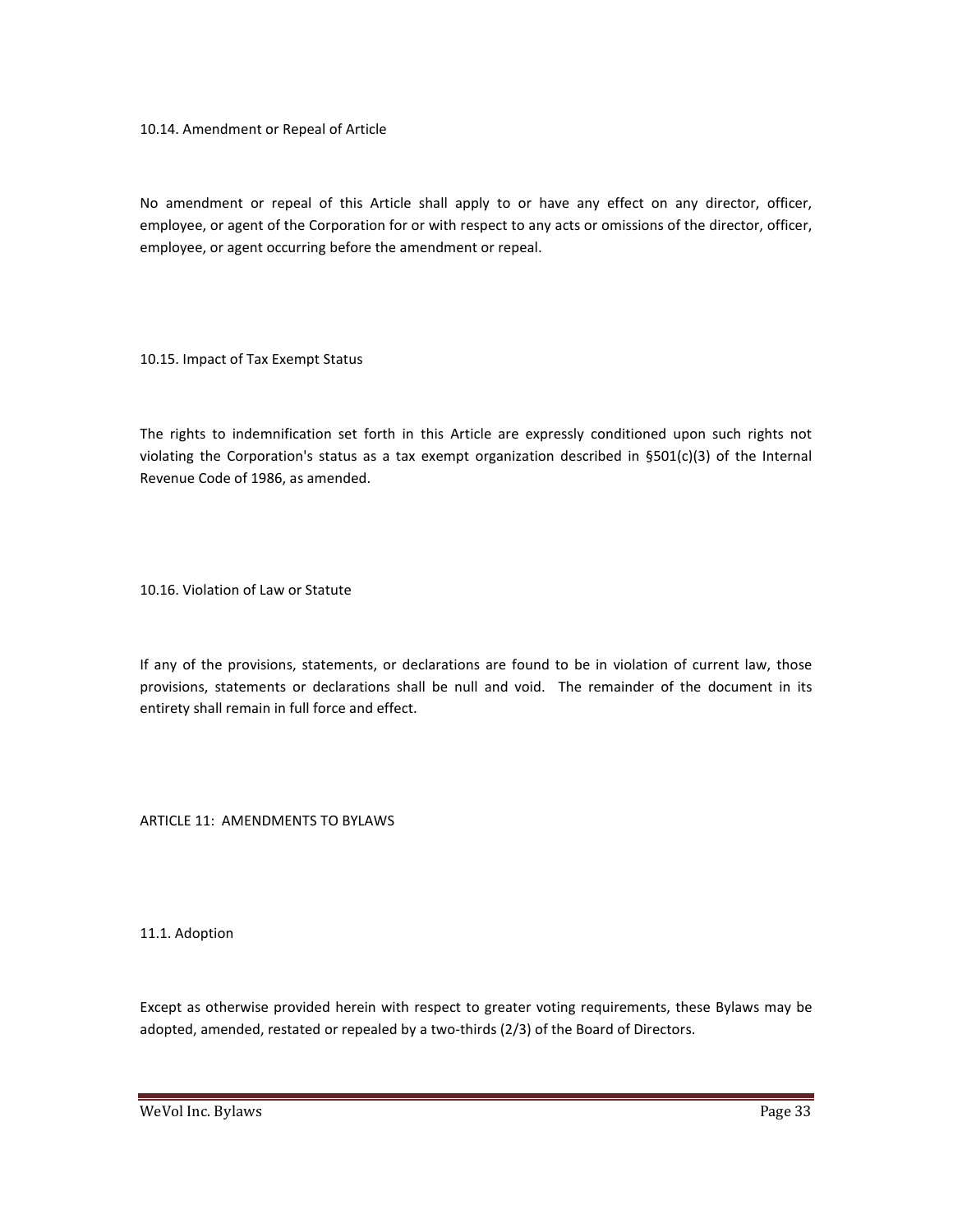10.14. Amendment or Repeal of Article

No amendment or repeal of this Article shall apply to or have any effect on any director, officer, employee, or agent of the Corporation for or with respect to any acts or omissions of the director, officer, employee, or agent occurring before the amendment or repeal.

10.15. Impact of Tax Exempt Status

The rights to indemnification set forth in this Article are expressly conditioned upon such rights not violating the Corporation's status as a tax exempt organization described in  $$501(c)(3)$  of the Internal Revenue Code of 1986, as amended.

10.16. Violation of Law or Statute

If any of the provisions, statements, or declarations are found to be in violation of current law, those provisions, statements or declarations shall be null and void. The remainder of the document in its entirety shall remain in full force and effect.

ARTICLE 11: AMENDMENTS TO BYLAWS

11.1. Adoption

Except as otherwise provided herein with respect to greater voting requirements, these Bylaws may be adopted, amended, restated or repealed by a two-thirds (2/3) of the Board of Directors.

WeVol Inc. Bylaws **Page 33**